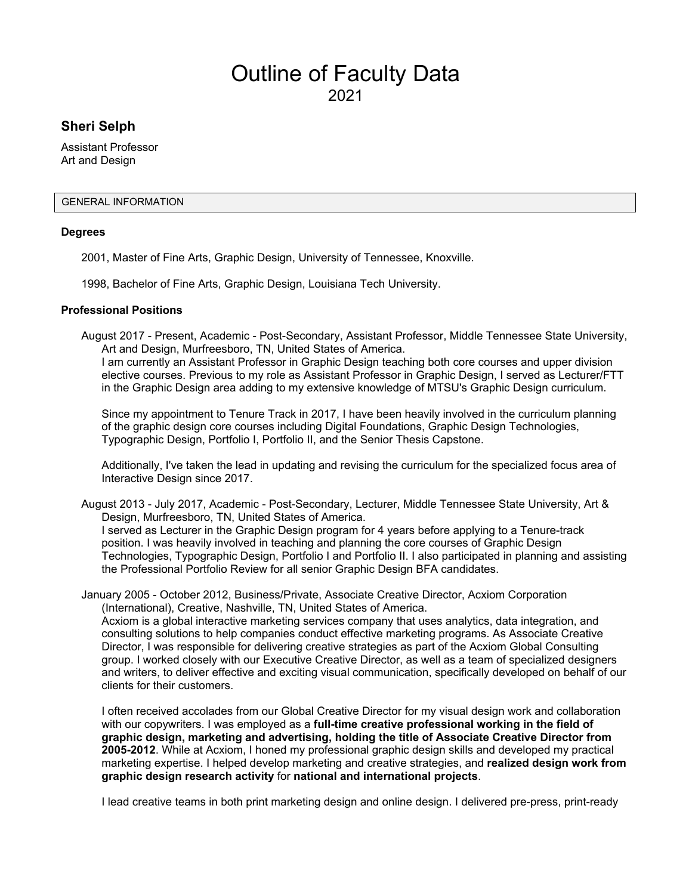# Outline of Faculty Data 2021

# **Sheri Selph**

Assistant Professor Art and Design

#### GENERAL INFORMATION

#### **Degrees**

2001, Master of Fine Arts, Graphic Design, University of Tennessee, Knoxville.

1998, Bachelor of Fine Arts, Graphic Design, Louisiana Tech University.

#### **Professional Positions**

August 2017 - Present, Academic - Post-Secondary, Assistant Professor, Middle Tennessee State University, Art and Design, Murfreesboro, TN, United States of America.

I am currently an Assistant Professor in Graphic Design teaching both core courses and upper division elective courses. Previous to my role as Assistant Professor in Graphic Design, I served as Lecturer/FTT in the Graphic Design area adding to my extensive knowledge of MTSU's Graphic Design curriculum.

Since my appointment to Tenure Track in 2017, I have been heavily involved in the curriculum planning of the graphic design core courses including Digital Foundations, Graphic Design Technologies, Typographic Design, Portfolio I, Portfolio II, and the Senior Thesis Capstone.

Additionally, I've taken the lead in updating and revising the curriculum for the specialized focus area of Interactive Design since 2017.

August 2013 - July 2017, Academic - Post-Secondary, Lecturer, Middle Tennessee State University, Art & Design, Murfreesboro, TN, United States of America. I served as Lecturer in the Graphic Design program for 4 years before applying to a Tenure-track position. I was heavily involved in teaching and planning the core courses of Graphic Design Technologies, Typographic Design, Portfolio I and Portfolio II. I also participated in planning and assisting

January 2005 - October 2012, Business/Private, Associate Creative Director, Acxiom Corporation (International), Creative, Nashville, TN, United States of America.

the Professional Portfolio Review for all senior Graphic Design BFA candidates.

Acxiom is a global interactive marketing services company that uses analytics, data integration, and consulting solutions to help companies conduct effective marketing programs. As Associate Creative Director, I was responsible for delivering creative strategies as part of the Acxiom Global Consulting group. I worked closely with our Executive Creative Director, as well as a team of specialized designers and writers, to deliver effective and exciting visual communication, specifically developed on behalf of our clients for their customers.

I often received accolades from our Global Creative Director for my visual design work and collaboration with our copywriters. I was employed as a **full-time creative professional working in the field of graphic design, marketing and advertising, holding the title of Associate Creative Director from 2005-2012**. While at Acxiom, I honed my professional graphic design skills and developed my practical marketing expertise. I helped develop marketing and creative strategies, and **realized design work from graphic design research activity** for **national and international projects**.

I lead creative teams in both print marketing design and online design. I delivered pre-press, print-ready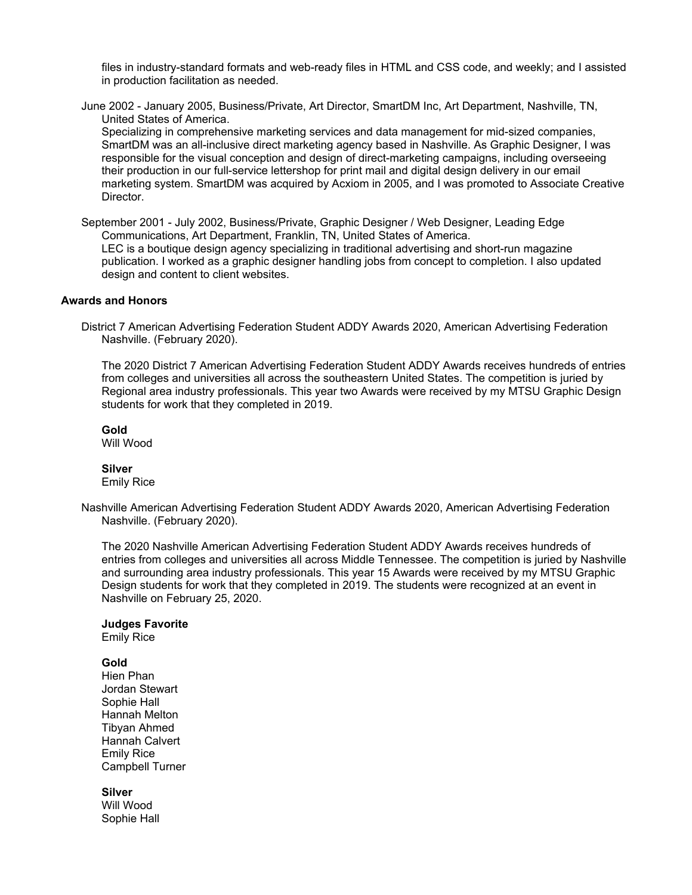files in industry-standard formats and web-ready files in HTML and CSS code, and weekly; and I assisted in production facilitation as needed.

June 2002 - January 2005, Business/Private, Art Director, SmartDM Inc, Art Department, Nashville, TN, United States of America.

Specializing in comprehensive marketing services and data management for mid-sized companies, SmartDM was an all-inclusive direct marketing agency based in Nashville. As Graphic Designer, I was responsible for the visual conception and design of direct-marketing campaigns, including overseeing their production in our full-service lettershop for print mail and digital design delivery in our email marketing system. SmartDM was acquired by Acxiom in 2005, and I was promoted to Associate Creative Director.

September 2001 - July 2002, Business/Private, Graphic Designer / Web Designer, Leading Edge Communications, Art Department, Franklin, TN, United States of America. LEC is a boutique design agency specializing in traditional advertising and short-run magazine publication. I worked as a graphic designer handling jobs from concept to completion. I also updated design and content to client websites.

#### **Awards and Honors**

District 7 American Advertising Federation Student ADDY Awards 2020, American Advertising Federation Nashville. (February 2020).

The 2020 District 7 American Advertising Federation Student ADDY Awards receives hundreds of entries from colleges and universities all across the southeastern United States. The competition is juried by Regional area industry professionals. This year two Awards were received by my MTSU Graphic Design students for work that they completed in 2019.

#### **Gold**

Will Wood

#### **Silver**

Emily Rice

Nashville American Advertising Federation Student ADDY Awards 2020, American Advertising Federation Nashville. (February 2020).

The 2020 Nashville American Advertising Federation Student ADDY Awards receives hundreds of entries from colleges and universities all across Middle Tennessee. The competition is juried by Nashville and surrounding area industry professionals. This year 15 Awards were received by my MTSU Graphic Design students for work that they completed in 2019. The students were recognized at an event in Nashville on February 25, 2020.

#### **Judges Favorite**

Emily Rice

#### **Gold**

Hien Phan Jordan Stewart Sophie Hall Hannah Melton Tibyan Ahmed Hannah Calvert Emily Rice Campbell Turner

**Silver** Will Wood Sophie Hall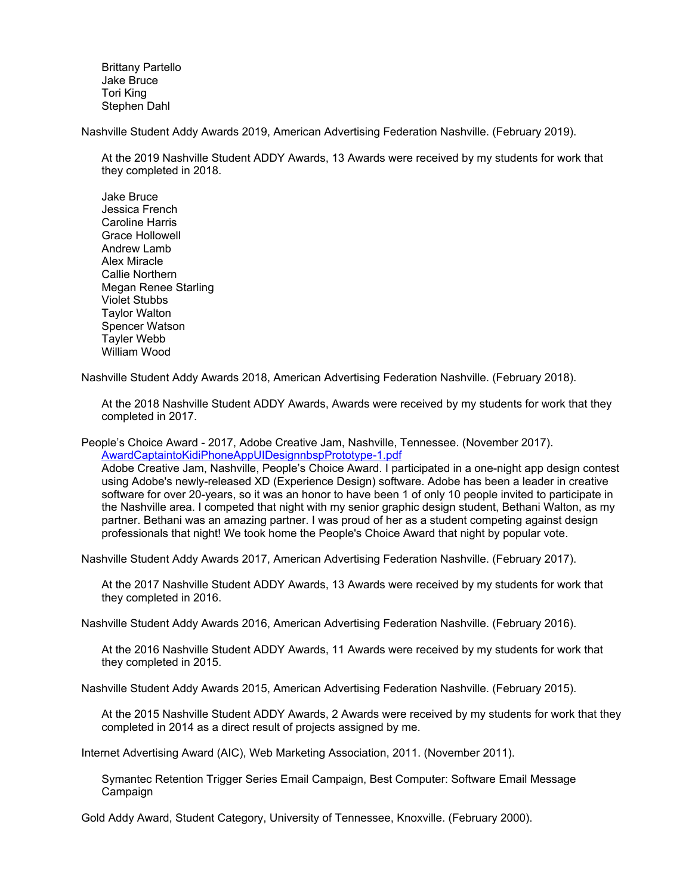Brittany Partello Jake Bruce Tori King Stephen Dahl

Nashville Student Addy Awards 2019, American Advertising Federation Nashville. (February 2019).

At the 2019 Nashville Student ADDY Awards, 13 Awards were received by my students for work that they completed in 2018.

Jake Bruce Jessica French Caroline Harris Grace Hollowell Andrew Lamb Alex Miracle Callie Northern Megan Renee Starling Violet Stubbs Taylor Walton Spencer Watson Tayler Webb William Wood

Nashville Student Addy Awards 2018, American Advertising Federation Nashville. (February 2018).

At the 2018 Nashville Student ADDY Awards, Awards were received by my students for work that they completed in 2017.

People's Choice Award - 2017, Adobe Creative Jam, Nashville, Tennessee. (November 2017). [AwardCaptaintoKidiPhoneAppUIDesignnbspPrototype-1.pdf](https://www.digitalmeasures.com/login/mtsu/faculty/survey/ui/showFile?file=c2VscGgvYXdhcmRob25vci9Bd2FyZENhcHRhaW50b0tpZGlQaG9uZUFwcFVJRGVzaWdubmJzcFBy%0Ab3RvdHlwZS0xLnBkZg%3D%3D&surId=18072483&nodeId=2120558&sdId=93117424&sdSurId=18072483&rptId=30342&sgntr=hN4LcEEKkZe9Gv2dODSpz6%2Btx5U%3D)

Adobe Creative Jam, Nashville, People's Choice Award. I participated in a one-night app design contest using Adobe's newly-released XD (Experience Design) software. Adobe has been a leader in creative software for over 20-years, so it was an honor to have been 1 of only 10 people invited to participate in the Nashville area. I competed that night with my senior graphic design student, Bethani Walton, as my partner. Bethani was an amazing partner. I was proud of her as a student competing against design professionals that night! We took home the People's Choice Award that night by popular vote.

Nashville Student Addy Awards 2017, American Advertising Federation Nashville. (February 2017).

At the 2017 Nashville Student ADDY Awards, 13 Awards were received by my students for work that they completed in 2016.

Nashville Student Addy Awards 2016, American Advertising Federation Nashville. (February 2016).

At the 2016 Nashville Student ADDY Awards, 11 Awards were received by my students for work that they completed in 2015.

Nashville Student Addy Awards 2015, American Advertising Federation Nashville. (February 2015).

At the 2015 Nashville Student ADDY Awards, 2 Awards were received by my students for work that they completed in 2014 as a direct result of projects assigned by me.

Internet Advertising Award (AIC), Web Marketing Association, 2011. (November 2011).

Symantec Retention Trigger Series Email Campaign, Best Computer: Software Email Message Campaign

Gold Addy Award, Student Category, University of Tennessee, Knoxville. (February 2000).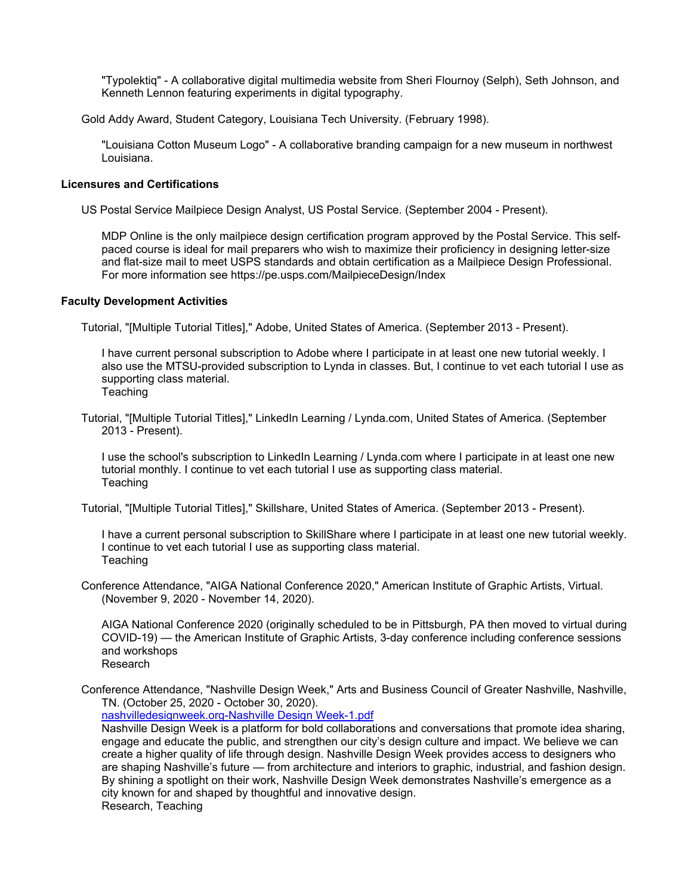"Typolektiq" - A collaborative digital multimedia website from Sheri Flournoy (Selph), Seth Johnson, and Kenneth Lennon featuring experiments in digital typography.

Gold Addy Award, Student Category, Louisiana Tech University. (February 1998).

"Louisiana Cotton Museum Logo" - A collaborative branding campaign for a new museum in northwest Louisiana.

#### **Licensures and Certifications**

US Postal Service Mailpiece Design Analyst, US Postal Service. (September 2004 - Present).

MDP Online is the only mailpiece design certification program approved by the Postal Service. This selfpaced course is ideal for mail preparers who wish to maximize their proficiency in designing letter-size and flat-size mail to meet USPS standards and obtain certification as a Mailpiece Design Professional. For more information see https://pe.usps.com/MailpieceDesign/Index

#### **Faculty Development Activities**

Tutorial, "[Multiple Tutorial Titles]," Adobe, United States of America. (September 2013 - Present).

I have current personal subscription to Adobe where I participate in at least one new tutorial weekly. I also use the MTSU-provided subscription to Lynda in classes. But, I continue to vet each tutorial I use as supporting class material. **Teaching** 

Tutorial, "[Multiple Tutorial Titles]," LinkedIn Learning / Lynda.com, United States of America. (September 2013 - Present).

I use the school's subscription to LinkedIn Learning / Lynda.com where I participate in at least one new tutorial monthly. I continue to vet each tutorial I use as supporting class material. **Teaching** 

Tutorial, "[Multiple Tutorial Titles]," Skillshare, United States of America. (September 2013 - Present).

I have a current personal subscription to SkillShare where I participate in at least one new tutorial weekly. I continue to vet each tutorial I use as supporting class material. **Teaching** 

Conference Attendance, "AIGA National Conference 2020," American Institute of Graphic Artists, Virtual. (November 9, 2020 - November 14, 2020).

AIGA National Conference 2020 (originally scheduled to be in Pittsburgh, PA then moved to virtual during COVID-19) — the American Institute of Graphic Artists, 3-day conference including conference sessions and workshops Research

Conference Attendance, "Nashville Design Week," Arts and Business Council of Greater Nashville, Nashville, TN. (October 25, 2020 - October 30, 2020).

[nashvilledesignweek.org-Nashville Design Week-1.pdf](https://www.digitalmeasures.com/login/mtsu/faculty/survey/ui/showFile?file=c2VscGgvZmFjZGV2L25hc2h2aWxsZWRlc2lnbndlZWsub3JnLU5hc2h2aWxsZSBEZXNpZ24gV2Vl%0Aay0xLnBkZg%3D%3D&surId=18072483&nodeId=2120966&sdId=103164993&sdSurId=18072483&rptId=30342&sgntr=qyvy0cqjxy%2B3krybZYbju0G5Gps%3D)

Nashville Design Week is a platform for bold collaborations and conversations that promote idea sharing, engage and educate the public, and strengthen our city's design culture and impact. We believe we can create a higher quality of life through design. Nashville Design Week provides access to designers who are shaping Nashville's future — from architecture and interiors to graphic, industrial, and fashion design. By shining a spotlight on their work, Nashville Design Week demonstrates Nashville's emergence as a city known for and shaped by thoughtful and innovative design. Research, Teaching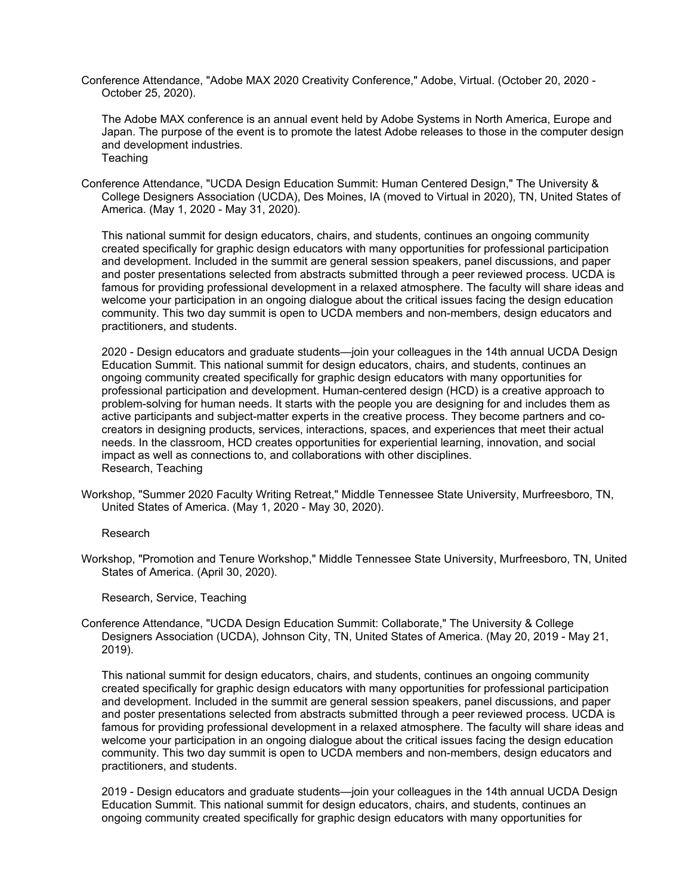Conference Attendance, "Adobe MAX 2020 Creativity Conference," Adobe, Virtual. (October 20, 2020 - October 25, 2020).

The Adobe MAX conference is an annual event held by Adobe Systems in North America, Europe and Japan. The purpose of the event is to promote the latest Adobe releases to those in the computer design and development industries. Teaching

Conference Attendance, "UCDA Design Education Summit: Human Centered Design," The University & College Designers Association (UCDA), Des Moines, IA (moved to Virtual in 2020), TN, United States of America. (May 1, 2020 - May 31, 2020).

This national summit for design educators, chairs, and students, continues an ongoing community created specifically for graphic design educators with many opportunities for professional participation and development. Included in the summit are general session speakers, panel discussions, and paper and poster presentations selected from abstracts submitted through a peer reviewed process. UCDA is famous for providing professional development in a relaxed atmosphere. The faculty will share ideas and welcome your participation in an ongoing dialogue about the critical issues facing the design education community. This two day summit is open to UCDA members and non-members, design educators and practitioners, and students.

2020 - Design educators and graduate students—join your colleagues in the 14th annual UCDA Design Education Summit. This national summit for design educators, chairs, and students, continues an ongoing community created specifically for graphic design educators with many opportunities for professional participation and development. Human-centered design (HCD) is a creative approach to problem-solving for human needs. It starts with the people you are designing for and includes them as active participants and subject-matter experts in the creative process. They become partners and cocreators in designing products, services, interactions, spaces, and experiences that meet their actual needs. In the classroom, HCD creates opportunities for experiential learning, innovation, and social impact as well as connections to, and collaborations with other disciplines. Research, Teaching

Workshop, "Summer 2020 Faculty Writing Retreat," Middle Tennessee State University, Murfreesboro, TN, United States of America. (May 1, 2020 - May 30, 2020).

Research

Workshop, "Promotion and Tenure Workshop," Middle Tennessee State University, Murfreesboro, TN, United States of America. (April 30, 2020).

Research, Service, Teaching

Conference Attendance, "UCDA Design Education Summit: Collaborate," The University & College Designers Association (UCDA), Johnson City, TN, United States of America. (May 20, 2019 - May 21, 2019).

This national summit for design educators, chairs, and students, continues an ongoing community created specifically for graphic design educators with many opportunities for professional participation and development. Included in the summit are general session speakers, panel discussions, and paper and poster presentations selected from abstracts submitted through a peer reviewed process. UCDA is famous for providing professional development in a relaxed atmosphere. The faculty will share ideas and welcome your participation in an ongoing dialogue about the critical issues facing the design education community. This two day summit is open to UCDA members and non-members, design educators and practitioners, and students.

2019 - Design educators and graduate students—join your colleagues in the 14th annual UCDA Design Education Summit. This national summit for design educators, chairs, and students, continues an ongoing community created specifically for graphic design educators with many opportunities for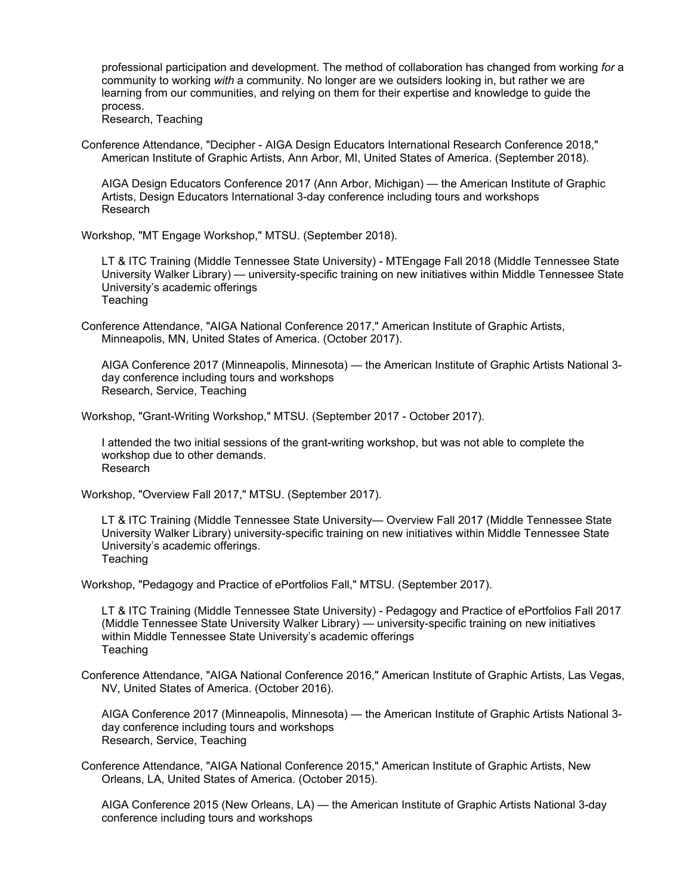professional participation and development. The method of collaboration has changed from working *for* a community to working *with* a community. No longer are we outsiders looking in, but rather we are learning from our communities, and relying on them for their expertise and knowledge to guide the process.

Research, Teaching

Conference Attendance, "Decipher - AIGA Design Educators International Research Conference 2018," American Institute of Graphic Artists, Ann Arbor, MI, United States of America. (September 2018).

AIGA Design Educators Conference 2017 (Ann Arbor, Michigan) — the American Institute of Graphic Artists, Design Educators International 3-day conference including tours and workshops Research

Workshop, "MT Engage Workshop," MTSU. (September 2018).

LT & ITC Training (Middle Tennessee State University) - MTEngage Fall 2018 (Middle Tennessee State University Walker Library) — university-specific training on new initiatives within Middle Tennessee State University's academic offerings **Teaching** 

Conference Attendance, "AIGA National Conference 2017," American Institute of Graphic Artists, Minneapolis, MN, United States of America. (October 2017).

AIGA Conference 2017 (Minneapolis, Minnesota) — the American Institute of Graphic Artists National 3 day conference including tours and workshops Research, Service, Teaching

Workshop, "Grant-Writing Workshop," MTSU. (September 2017 - October 2017).

I attended the two initial sessions of the grant-writing workshop, but was not able to complete the workshop due to other demands. Research

Workshop, "Overview Fall 2017," MTSU. (September 2017).

LT & ITC Training (Middle Tennessee State University— Overview Fall 2017 (Middle Tennessee State University Walker Library) university-specific training on new initiatives within Middle Tennessee State University's academic offerings. **Teaching** 

Workshop, "Pedagogy and Practice of ePortfolios Fall," MTSU. (September 2017).

LT & ITC Training (Middle Tennessee State University) - Pedagogy and Practice of ePortfolios Fall 2017 (Middle Tennessee State University Walker Library) — university-specific training on new initiatives within Middle Tennessee State University's academic offerings **Teaching** 

Conference Attendance, "AIGA National Conference 2016," American Institute of Graphic Artists, Las Vegas, NV, United States of America. (October 2016).

AIGA Conference 2017 (Minneapolis, Minnesota) — the American Institute of Graphic Artists National 3 day conference including tours and workshops Research, Service, Teaching

Conference Attendance, "AIGA National Conference 2015," American Institute of Graphic Artists, New Orleans, LA, United States of America. (October 2015).

AIGA Conference 2015 (New Orleans, LA) — the American Institute of Graphic Artists National 3-day conference including tours and workshops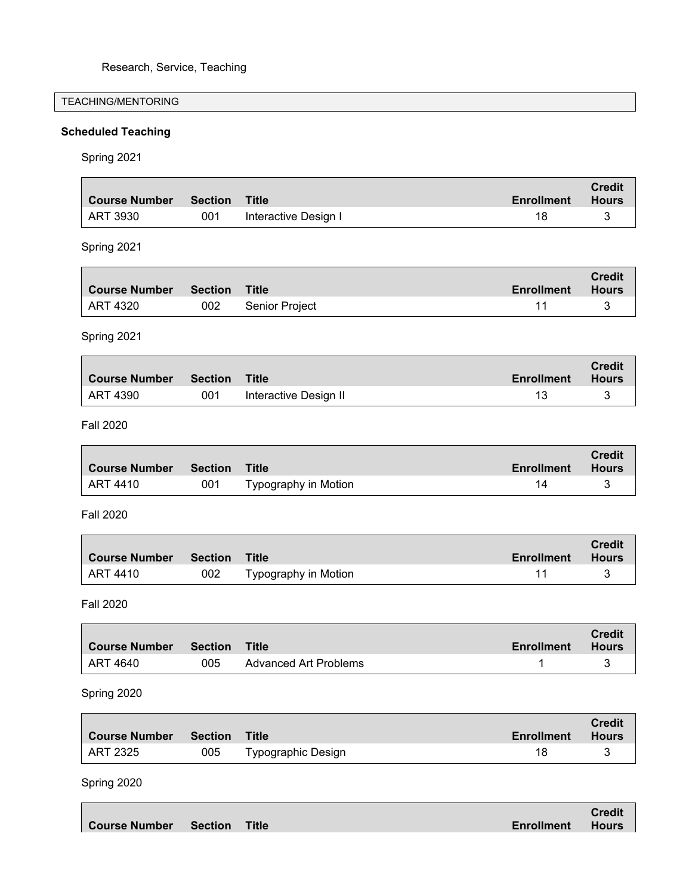# TEACHING/MENTORING

# **Scheduled Teaching**

Spring 2021

| <b>Course Number</b> | <b>Section</b> | <b>Title</b>                 | <b>Enrollment</b> | <b>Credit</b><br><b>Hours</b> |
|----------------------|----------------|------------------------------|-------------------|-------------------------------|
| <b>ART 3930</b>      | 001            |                              | 18                | 3                             |
|                      |                | Interactive Design I         |                   |                               |
| Spring 2021          |                |                              |                   |                               |
| <b>Course Number</b> | <b>Section</b> | <b>Title</b>                 | <b>Enrollment</b> | <b>Credit</b><br><b>Hours</b> |
| <b>ART 4320</b>      | 002            | Senior Project               | 11                | 3                             |
|                      |                |                              |                   |                               |
| Spring 2021          |                |                              |                   |                               |
| <b>Course Number</b> | <b>Section</b> | <b>Title</b>                 | <b>Enrollment</b> | <b>Credit</b><br><b>Hours</b> |
| <b>ART 4390</b>      | 001            | Interactive Design II        | 13                | 3                             |
|                      |                |                              |                   |                               |
| <b>Fall 2020</b>     |                |                              |                   |                               |
| <b>Course Number</b> | <b>Section</b> | <b>Title</b>                 | <b>Enrollment</b> | <b>Credit</b><br><b>Hours</b> |
| <b>ART 4410</b>      | 001            | Typography in Motion         | 14                | 3                             |
| <b>Fall 2020</b>     |                |                              |                   |                               |
| <b>Course Number</b> | <b>Section</b> | <b>Title</b>                 | <b>Enrollment</b> | <b>Credit</b><br><b>Hours</b> |
| <b>ART 4410</b>      | 002            | Typography in Motion         | 11                | 3                             |
| <b>Fall 2020</b>     |                |                              |                   |                               |
| <b>Course Number</b> | <b>Section</b> | <b>Title</b>                 | <b>Enrollment</b> | <b>Credit</b><br><b>Hours</b> |
| <b>ART 4640</b>      | 005            | <b>Advanced Art Problems</b> | 1                 | 3                             |
|                      |                |                              |                   |                               |
| Spring 2020          |                |                              |                   |                               |
| <b>Course Number</b> | <b>Section</b> | <b>Title</b>                 | <b>Enrollment</b> | <b>Credit</b><br><b>Hours</b> |

Spring 2020

|                                    |  |                   | <b>Credit</b> |
|------------------------------------|--|-------------------|---------------|
| <b>Course Number Section Title</b> |  | <b>Enrollment</b> | <b>Hours</b>  |

ART 2325 005 Typographic Design 18 3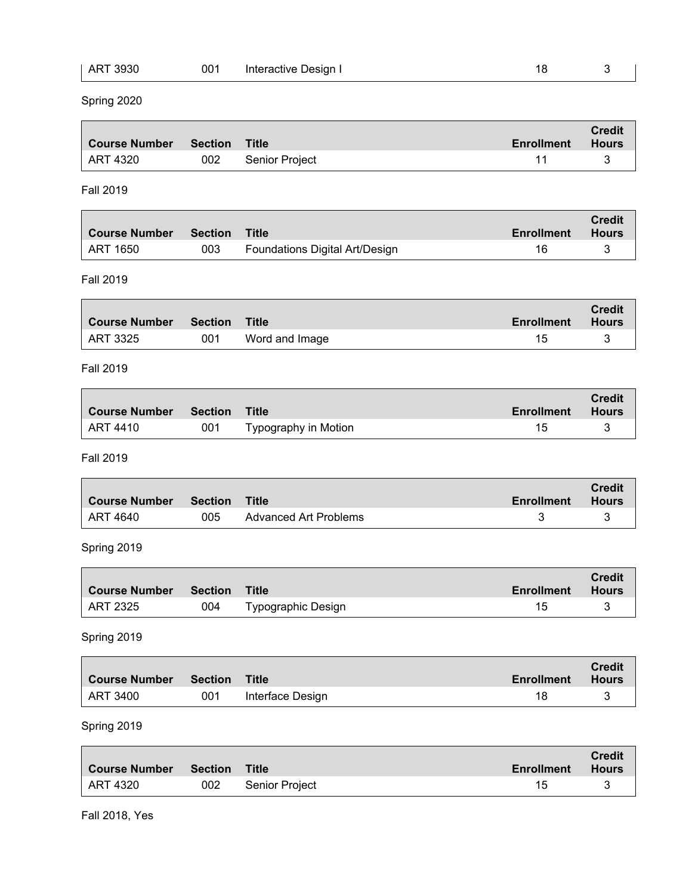| ART 3930 | 001 | Interactive Design I |  |  |
|----------|-----|----------------------|--|--|
|----------|-----|----------------------|--|--|

Spring 2020

| Course Number Section Title |     |                | <b>Enrollment</b> | <b>Credit</b><br>Hours |
|-----------------------------|-----|----------------|-------------------|------------------------|
| ART 4320                    | 002 | Senior Project |                   |                        |

Fall 2019

| <b>Course Number</b> | Section | Title                          | <b>Enrollment</b> | <b>Credit</b><br><b>Hours</b> |
|----------------------|---------|--------------------------------|-------------------|-------------------------------|
| ' ART 1650           | 003     | Foundations Digital Art/Design |                   |                               |

٦

### Fall 2019

| <b>Course Number</b> | Section Title |                | Enrollment | <b>Credit</b><br>Hours |
|----------------------|---------------|----------------|------------|------------------------|
| ART 3325             | 001           | Word and Image |            |                        |

### Fall 2019

| <b>Course Number</b> | <b>Section</b> | <b>Title</b>         | Enrollment | <b>Credit</b><br><b>Hours</b> |
|----------------------|----------------|----------------------|------------|-------------------------------|
| ART 4410             | 001            | Typography in Motion | 15         |                               |

### Fall 2019

| <b>Course Number</b> | <b>Section</b> | <b>Title</b>          | Enrollment | <b>Credit</b><br><b>Hours</b> |
|----------------------|----------------|-----------------------|------------|-------------------------------|
| ART 4640             | 005            | Advanced Art Problems |            |                               |

# Spring 2019

| <b>Course Number</b>  | Section | Title                     | <b>Enrollment</b> | <b>Credit</b><br><b>Hours</b> |
|-----------------------|---------|---------------------------|-------------------|-------------------------------|
| <sup>⊥</sup> ART 2325 | 004     | <b>Typographic Design</b> |                   |                               |

# Spring 2019

 $\blacksquare$ 

r

| Course Number Section Title |     |                  | <b>Enrollment</b> | <b>Credit</b><br><b>Hours</b> |
|-----------------------------|-----|------------------|-------------------|-------------------------------|
| ART 3400                    | 001 | Interface Design |                   |                               |

| ∣ Course Number  Section  Title |     |                | <b>Enrollment</b> | <b>Credit</b><br>Hours |
|---------------------------------|-----|----------------|-------------------|------------------------|
| ART 4320                        | 002 | Senior Project |                   |                        |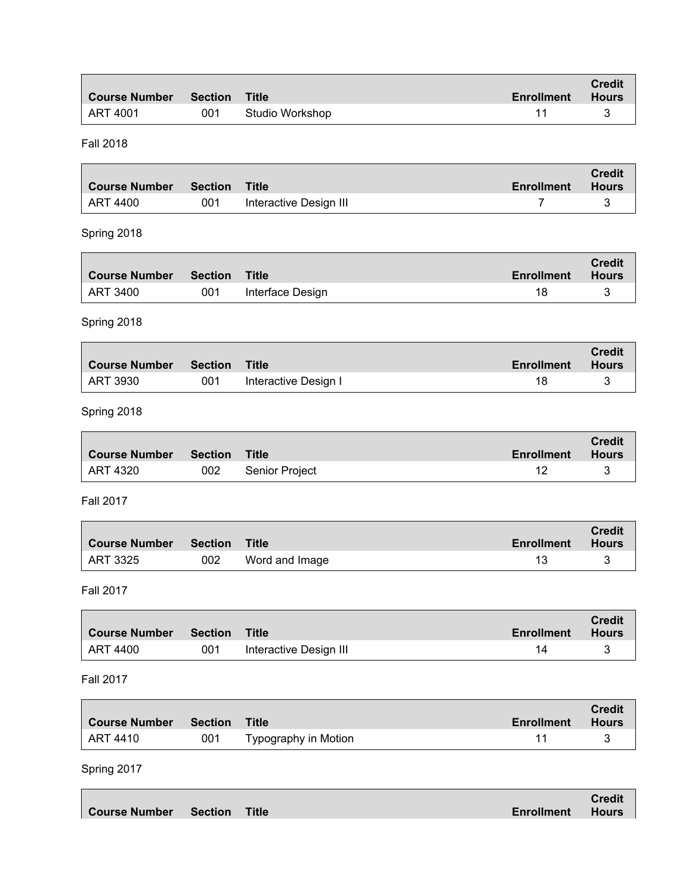| <b>Course Number</b> | Section Title |                 | <b>Enrollment</b> | <b>Credit</b><br><b>Hours</b> |
|----------------------|---------------|-----------------|-------------------|-------------------------------|
| ∣ ART 4001           | 001           | Studio Workshop |                   |                               |

Fall 2018

| ∣ Course Number | Section Title |                        | Enrollment | <b>Credit</b><br><b>Hours</b> |
|-----------------|---------------|------------------------|------------|-------------------------------|
| ART 4400        | 001           | Interactive Design III |            |                               |

# Spring 2018

| <b>Course Number</b> | <b>Section</b> | <b>Title</b>     | <b>Enrollment</b> | <b>Credit</b><br><b>Hours</b> |
|----------------------|----------------|------------------|-------------------|-------------------------------|
| ART 3400             | 001            | Interface Design | 18                |                               |

# Spring 2018

| ∣ Course Number | Section | Title                | <b>Enrollment</b> | <b>Credit</b><br><b>Hours</b> |
|-----------------|---------|----------------------|-------------------|-------------------------------|
| ART 3930        | 001     | Interactive Design I | 18                |                               |

# Spring 2018

 $\Box$ 

| Course Number Section Title |     |                | <b>Enrollment</b> | <b>Credit</b><br>Hours |
|-----------------------------|-----|----------------|-------------------|------------------------|
| ART 4320                    | 002 | Senior Project |                   |                        |

 $\overline{\phantom{0}}$ 

h

# Fall 2017

| <b>Course Number</b>    | Section | Title          | <b>Enrollment</b> | <b>Credit</b><br>Hours |
|-------------------------|---------|----------------|-------------------|------------------------|
| $\overline{ }$ ART 3325 | 002     | Word and Image |                   |                        |

### Fall 2017

| <b>Course Number</b> | <b>Section</b> | Title                  | <b>Enrollment</b> | <b>Credit</b><br><b>Hours</b> |
|----------------------|----------------|------------------------|-------------------|-------------------------------|
| ART 4400             | 001            | Interactive Design III | 14                |                               |

# Fall 2017

п

| ∣ Course Number  Section  Title |     |                      | Enrollment | <b>Credit</b><br>Hours |
|---------------------------------|-----|----------------------|------------|------------------------|
| ART 4410                        | 001 | Typography in Motion |            |                        |

|                             |  |                         | <b>Credit</b> |
|-----------------------------|--|-------------------------|---------------|
| Course Number Section Title |  | <b>Enrollment Hours</b> |               |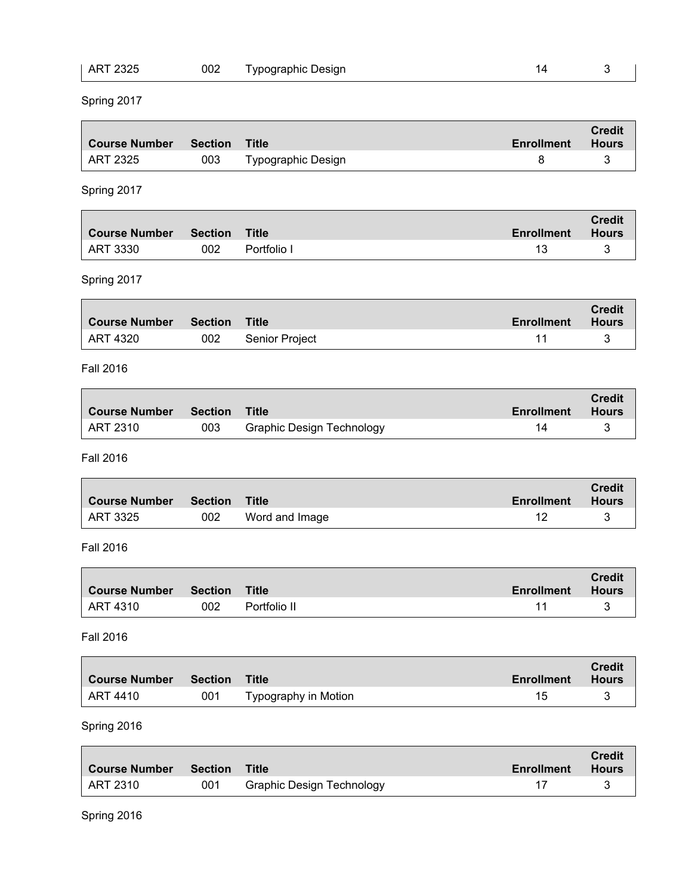| $\theta$<br>AR.<br>32. | 002 | Desian<br>n∩ɑranhi∩<br>vn <sub>'</sub><br>$\sim$ |  |  |
|------------------------|-----|--------------------------------------------------|--|--|
|                        |     |                                                  |  |  |

# Spring 2017

| <b>Course Number Section Title</b> |     |                           | <b>Enrollment</b> | <b>Credit</b><br><b>Hours</b> |
|------------------------------------|-----|---------------------------|-------------------|-------------------------------|
| ART 2325                           | 003 | <b>Typographic Design</b> |                   |                               |

# Spring 2017

|            |     | Title       | <b>Enrollment</b> | <b>Credit</b><br>Hours |
|------------|-----|-------------|-------------------|------------------------|
| ' ART 3330 | 002 | Portfolio I |                   |                        |

# Spring 2017

| <b>Course Number Section Title</b> |     |                | Enrollment | <b>Credit</b><br>Hours |
|------------------------------------|-----|----------------|------------|------------------------|
| ART 4320                           | 002 | Senior Project |            |                        |

### Fall 2016

| <b>Course Number</b> | <b>Section</b> | Title                            | <b>Enrollment</b> | <b>Credit</b><br><b>Hours</b> |
|----------------------|----------------|----------------------------------|-------------------|-------------------------------|
| ART 2310             | 003            | <b>Graphic Design Technology</b> |                   |                               |

#### Fall 2016

| <b>Course Number</b> | <b>Section</b> | Title          | <b>Enrollment</b> | <b>Credit</b><br><b>Hours</b> |
|----------------------|----------------|----------------|-------------------|-------------------------------|
| ART 3325             | 002            | Word and Image |                   |                               |

### Fall 2016

| Course Number | Section | Title        | Enrollment | <b>Credit</b><br><b>Hours</b> |
|---------------|---------|--------------|------------|-------------------------------|
| ∣ ART 4310    | 002     | Portfolio II |            |                               |

#### Fall 2016

 $\blacksquare$ 

п

| <b>Course Number Section Title</b> |     |                      | Enrollment | <b>Credit</b><br><b>Hours</b> |
|------------------------------------|-----|----------------------|------------|-------------------------------|
| ∣ ART 4410                         | 001 | Typography in Motion |            |                               |

| Course Number | Section | Title                            | <b>Enrollment</b> | <b>Credit</b><br><b>Hours</b> |
|---------------|---------|----------------------------------|-------------------|-------------------------------|
| ART 2310      | 001     | <b>Graphic Design Technology</b> |                   |                               |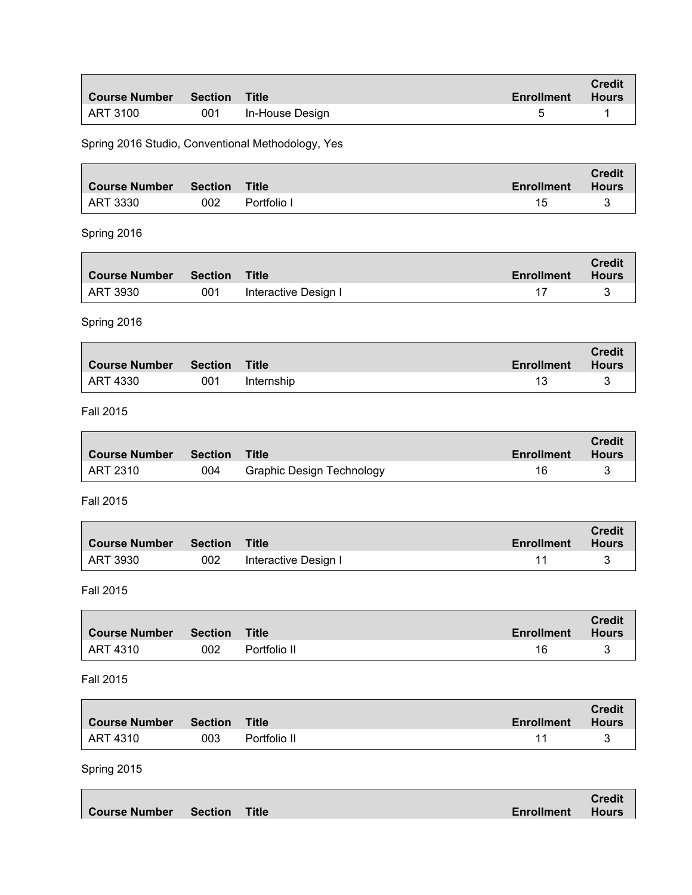| <b>Course Number Section Title</b> |     |                 | <b>Enrollment</b> | <b>Credit</b><br><b>Hours</b> |
|------------------------------------|-----|-----------------|-------------------|-------------------------------|
| ART 3100                           | 001 | In-House Design |                   |                               |

Spring 2016 Studio, Conventional Methodology, Yes

| Course Number  Section  Title |     |             | <b>Enrollment</b> | <b>Credit</b><br><b>Hours</b> |
|-------------------------------|-----|-------------|-------------------|-------------------------------|
| ∣ ART 3330                    | 002 | Portfolio I | 15                |                               |

# Spring 2016

Г

| ∣ Course Number | <b>Section</b> ≗ | Title                | <b>Enrollment</b> | <b>Credit</b><br><b>Hours</b> |
|-----------------|------------------|----------------------|-------------------|-------------------------------|
| ART 3930        | 001              | Interactive Design I |                   |                               |

Spring 2016

| ∣ Course Number | Section Title |            | <b>Enrollment</b> | <b>Credit</b><br><b>Hours</b> |
|-----------------|---------------|------------|-------------------|-------------------------------|
| ART 4330        | 001           | Internship |                   |                               |

Fall 2015

| ∣ Course Number ∣ | Section Title |                                  | Enrollment | <b>Credit</b><br><b>Hours</b> |
|-------------------|---------------|----------------------------------|------------|-------------------------------|
| ART 2310          | 004           | <b>Graphic Design Technology</b> |            |                               |

Fall 2015

| <b>Course Number</b> | Section | <b>Title</b>         | <b>Enrollment</b> | <b>Credit</b><br><b>Hours</b> |
|----------------------|---------|----------------------|-------------------|-------------------------------|
| ' ART 3930           | 002     | Interactive Design I |                   |                               |

Fall 2015

| <b>Course Number</b> | Section | Title        | Enrollment | <b>Credit</b><br><b>Hours</b> |
|----------------------|---------|--------------|------------|-------------------------------|
| ∣ ART 4310           | 002     | Portfolio II | 16         |                               |

### Fall 2015

| Course Number Section |     | Title        | Enrollment | <b>Credit</b><br><b>Hours</b> |
|-----------------------|-----|--------------|------------|-------------------------------|
| LART 4310             | 003 | Portfolio II |            |                               |

|                             |  |                         | <b>Credit</b> |
|-----------------------------|--|-------------------------|---------------|
| Course Number Section Title |  | <b>Enrollment Hours</b> |               |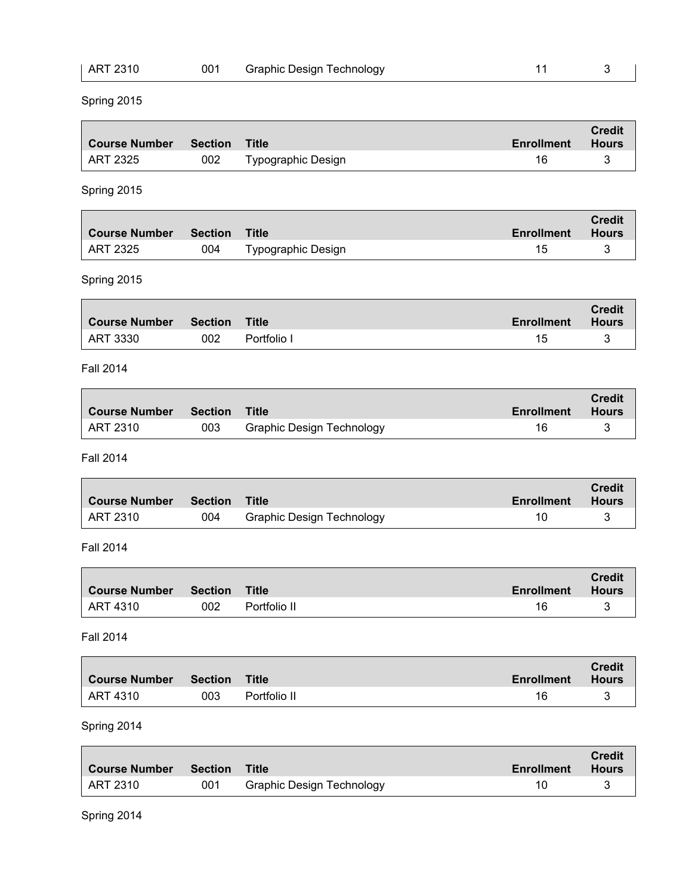| ART 2310 | 001 | <b>Graphic Design Technology</b> |  |
|----------|-----|----------------------------------|--|
|          |     |                                  |  |

 $\overline{\phantom{a}}$ 

# Spring 2015

| ∣ Course Number | Section Title |                           | <b>Enrollment</b> | <b>Credit</b><br><b>Hours</b> |
|-----------------|---------------|---------------------------|-------------------|-------------------------------|
| ART 2325        | 002           | <b>Typographic Design</b> | 16                |                               |

# Spring 2015

| Course Number Section Title |     |                    | Enrollment | <b>Credit</b><br>Hours |
|-----------------------------|-----|--------------------|------------|------------------------|
| ART 2325                    | 004 | Typographic Design |            |                        |

# Spring 2015

| Course Number Section Title |     |             | Enrollment | <b>Credit</b><br>Hours |
|-----------------------------|-----|-------------|------------|------------------------|
| ART 3330                    | 002 | Portfolio I |            |                        |

### Fall 2014

| <b>Course Number</b> | <b>Section</b> | <b>Title</b>                     | Enrollment | <b>Credit</b><br><b>Hours</b> |
|----------------------|----------------|----------------------------------|------------|-------------------------------|
| ART 2310             | 003            | <b>Graphic Design Technology</b> | 16         |                               |

#### Fall 2014

| <b>Course Number</b> | <b>Section</b> | <b>Title</b>                     | <b>Enrollment</b> | <b>Credit</b><br><b>Hours</b> |
|----------------------|----------------|----------------------------------|-------------------|-------------------------------|
| ART 2310             | 004            | <b>Graphic Design Technology</b> | 10                |                               |

### Fall 2014

| <b>Course Number</b> | Section | Title        | <b>Enrollment</b> | <b>Credit</b><br><b>Hours</b> |
|----------------------|---------|--------------|-------------------|-------------------------------|
| ART 4310             | 002     | Portfolio II | 16                |                               |

### Fall 2014

| ∣ Course Number | Section | Title        | <b>Enrollment</b> | <b>Credit</b><br>Hours |
|-----------------|---------|--------------|-------------------|------------------------|
| ∣ ART 4310      | 003     | Portfolio II | 16                |                        |

| Course Number | Section | Title                            | <b>Enrollment</b> | <b>Credit</b><br><b>Hours</b> |
|---------------|---------|----------------------------------|-------------------|-------------------------------|
| ART 2310      | 001     | <b>Graphic Design Technology</b> |                   |                               |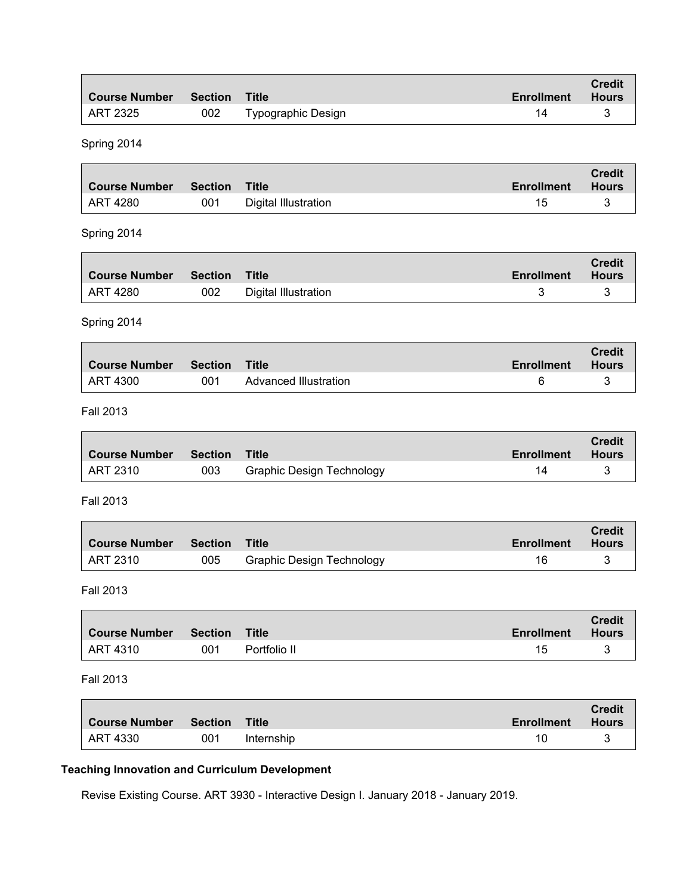| <b>Course Number</b> | Section Title |                           | <b>Enrollment</b> | <b>Credit</b><br><b>Hours</b> |
|----------------------|---------------|---------------------------|-------------------|-------------------------------|
| LART 2325            | 002           | <b>Typographic Design</b> | 14                |                               |

Spring 2014

| ∣ Course Number | <b>Section Title</b> |                      | <b>Enrollment</b> | <b>Credit</b><br>Hours |
|-----------------|----------------------|----------------------|-------------------|------------------------|
| ART 4280        | 001                  | Digital Illustration |                   |                        |

#### Spring 2014

Г

| ∣ Course Number | <b>Section</b> | Title                | <b>Enrollment</b> | <b>Credit</b><br><b>Hours</b> |
|-----------------|----------------|----------------------|-------------------|-------------------------------|
| ART 4280        | 002            | Digital Illustration |                   |                               |

Spring 2014

| ∣ Course Number  Section  Title |     |                       | <b>Enrollment</b> | <b>Credit</b><br><b>Hours</b> |
|---------------------------------|-----|-----------------------|-------------------|-------------------------------|
| ∣ ART 4300                      | 001 | Advanced Illustration |                   |                               |

 $\overline{\phantom{0}}$ 

┓

Fall 2013

Г

| ∣ Course Number | Section Title |                                  | Enrollment | <b>Credit</b><br><b>Hours</b> |
|-----------------|---------------|----------------------------------|------------|-------------------------------|
| ART 2310        | 003           | <b>Graphic Design Technology</b> |            |                               |

Fall 2013

| <b>Course Number</b> | Section | <b>Title</b>                     | <b>Enrollment</b> | <b>Credit</b><br><b>Hours</b> |
|----------------------|---------|----------------------------------|-------------------|-------------------------------|
| ART 2310             | 005     | <b>Graphic Design Technology</b> |                   |                               |

Fall 2013

| ∣ Course Number | <b>Section</b> | Title        | <b>Enrollment</b> | <b>Credit</b><br><b>Hours</b> |
|-----------------|----------------|--------------|-------------------|-------------------------------|
| ART 4310        | 001            | Portfolio II | 15                |                               |

#### Fall 2013

| <b>Course Number</b> | Section | <b>Title</b> | <b>Enrollment</b> | <b>Credit</b><br><b>Hours</b> |
|----------------------|---------|--------------|-------------------|-------------------------------|
| ART 4330             | 001     | Internship   |                   |                               |

# **Teaching Innovation and Curriculum Development**

Revise Existing Course. ART 3930 - Interactive Design I. January 2018 - January 2019.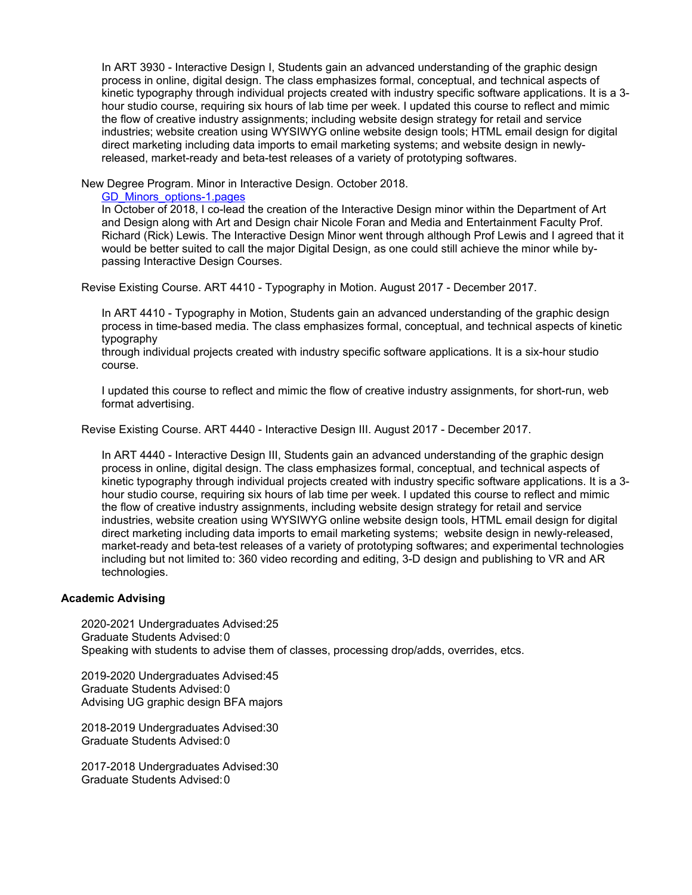In ART 3930 - Interactive Design I, Students gain an advanced understanding of the graphic design process in online, digital design. The class emphasizes formal, conceptual, and technical aspects of kinetic typography through individual projects created with industry specific software applications. It is a 3 hour studio course, requiring six hours of lab time per week. I updated this course to reflect and mimic the flow of creative industry assignments; including website design strategy for retail and service industries; website creation using WYSIWYG online website design tools; HTML email design for digital direct marketing including data imports to email marketing systems; and website design in newlyreleased, market-ready and beta-test releases of a variety of prototyping softwares.

New Degree Program. Minor in Interactive Design. October 2018.

[GD\\_Minors\\_options-1.pages](https://www.digitalmeasures.com/login/mtsu/faculty/survey/ui/showFile?file=c2VscGgvY3VycmljdWx1bS9HRF9NaW5vcnNfb3B0aW9ucy0xLnBhZ2Vz&surId=18072483&nodeId=2121276&sdId=102691876&sdSurId=18072483&rptId=30342&sgntr=uxMzQabokmYDGQpJ4bc%2FdpNCXek%3D)

In October of 2018, I co-lead the creation of the Interactive Design minor within the Department of Art and Design along with Art and Design chair Nicole Foran and Media and Entertainment Faculty Prof. Richard (Rick) Lewis. The Interactive Design Minor went through although Prof Lewis and I agreed that it would be better suited to call the major Digital Design, as one could still achieve the minor while bypassing Interactive Design Courses.

Revise Existing Course. ART 4410 - Typography in Motion. August 2017 - December 2017.

In ART 4410 - Typography in Motion, Students gain an advanced understanding of the graphic design process in time-based media. The class emphasizes formal, conceptual, and technical aspects of kinetic typography

through individual projects created with industry specific software applications. It is a six-hour studio course.

I updated this course to reflect and mimic the flow of creative industry assignments, for short-run, web format advertising.

Revise Existing Course. ART 4440 - Interactive Design III. August 2017 - December 2017.

In ART 4440 - Interactive Design III, Students gain an advanced understanding of the graphic design process in online, digital design. The class emphasizes formal, conceptual, and technical aspects of kinetic typography through individual projects created with industry specific software applications. It is a 3 hour studio course, requiring six hours of lab time per week. I updated this course to reflect and mimic the flow of creative industry assignments, including website design strategy for retail and service industries, website creation using WYSIWYG online website design tools, HTML email design for digital direct marketing including data imports to email marketing systems; website design in newly-released, market-ready and beta-test releases of a variety of prototyping softwares; and experimental technologies including but not limited to: 360 video recording and editing, 3-D design and publishing to VR and AR technologies.

#### **Academic Advising**

2020-2021 Undergraduates Advised:25 Graduate Students Advised:0 Speaking with students to advise them of classes, processing drop/adds, overrides, etcs.

2019-2020 Undergraduates Advised:45 Graduate Students Advised:0 Advising UG graphic design BFA majors

2018-2019 Undergraduates Advised:30 Graduate Students Advised:0

2017-2018 Undergraduates Advised:30 Graduate Students Advised:0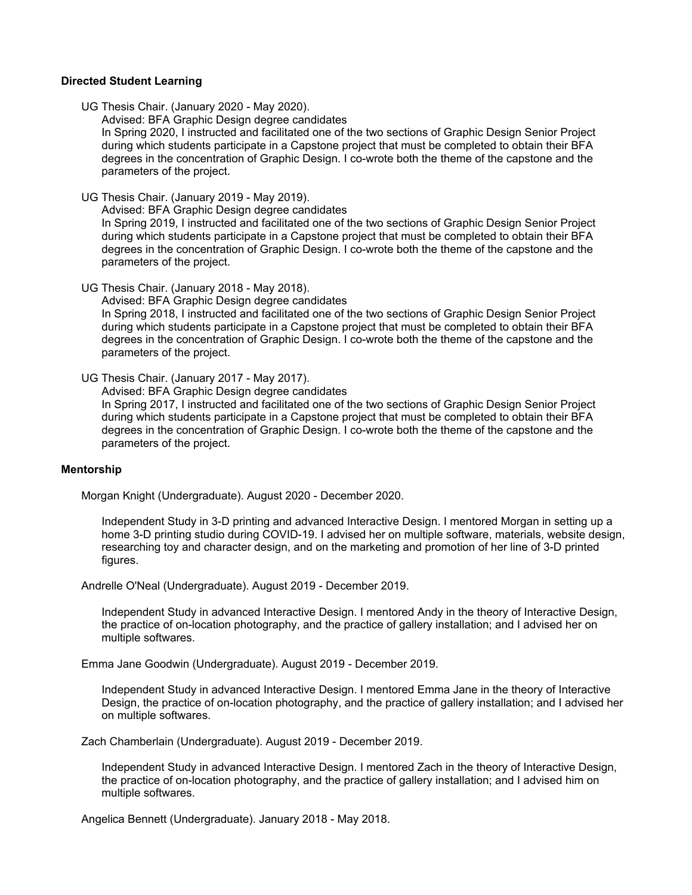#### **Directed Student Learning**

UG Thesis Chair. (January 2020 - May 2020).

Advised: BFA Graphic Design degree candidates

In Spring 2020, I instructed and facilitated one of the two sections of Graphic Design Senior Project during which students participate in a Capstone project that must be completed to obtain their BFA degrees in the concentration of Graphic Design. I co-wrote both the theme of the capstone and the parameters of the project.

UG Thesis Chair. (January 2019 - May 2019).

Advised: BFA Graphic Design degree candidates

In Spring 2019, I instructed and facilitated one of the two sections of Graphic Design Senior Project during which students participate in a Capstone project that must be completed to obtain their BFA degrees in the concentration of Graphic Design. I co-wrote both the theme of the capstone and the parameters of the project.

UG Thesis Chair. (January 2018 - May 2018).

Advised: BFA Graphic Design degree candidates In Spring 2018, I instructed and facilitated one of the two sections of Graphic Design Senior Project during which students participate in a Capstone project that must be completed to obtain their BFA degrees in the concentration of Graphic Design. I co-wrote both the theme of the capstone and the parameters of the project.

UG Thesis Chair. (January 2017 - May 2017).

Advised: BFA Graphic Design degree candidates

In Spring 2017, I instructed and facilitated one of the two sections of Graphic Design Senior Project during which students participate in a Capstone project that must be completed to obtain their BFA degrees in the concentration of Graphic Design. I co-wrote both the theme of the capstone and the parameters of the project.

#### **Mentorship**

Morgan Knight (Undergraduate). August 2020 - December 2020.

Independent Study in 3-D printing and advanced Interactive Design. I mentored Morgan in setting up a home 3-D printing studio during COVID-19. I advised her on multiple software, materials, website design, researching toy and character design, and on the marketing and promotion of her line of 3-D printed figures.

Andrelle O'Neal (Undergraduate). August 2019 - December 2019.

Independent Study in advanced Interactive Design. I mentored Andy in the theory of Interactive Design, the practice of on-location photography, and the practice of gallery installation; and I advised her on multiple softwares.

Emma Jane Goodwin (Undergraduate). August 2019 - December 2019.

Independent Study in advanced Interactive Design. I mentored Emma Jane in the theory of Interactive Design, the practice of on-location photography, and the practice of gallery installation; and I advised her on multiple softwares.

Zach Chamberlain (Undergraduate). August 2019 - December 2019.

Independent Study in advanced Interactive Design. I mentored Zach in the theory of Interactive Design, the practice of on-location photography, and the practice of gallery installation; and I advised him on multiple softwares.

Angelica Bennett (Undergraduate). January 2018 - May 2018.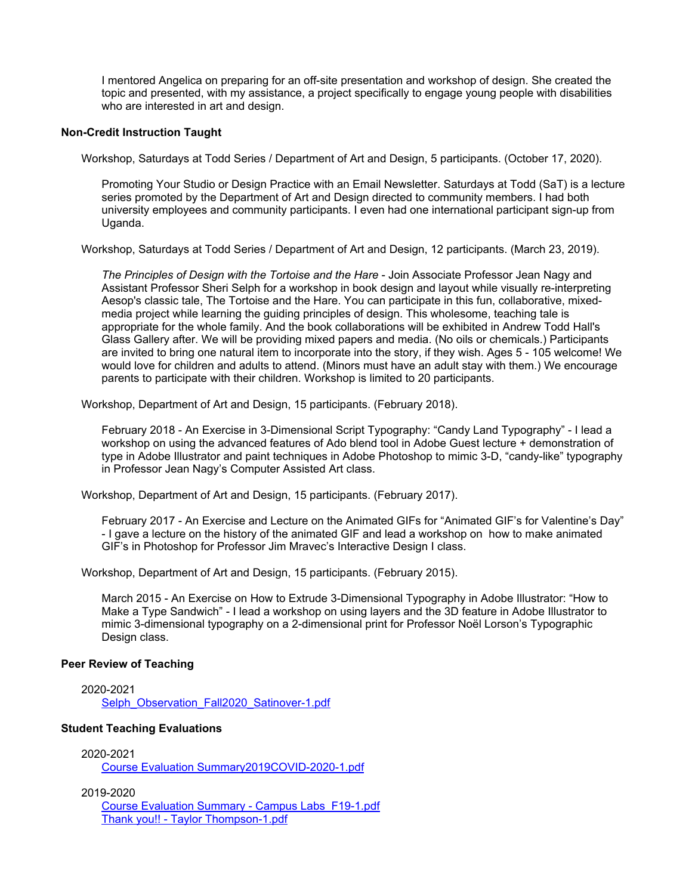I mentored Angelica on preparing for an off-site presentation and workshop of design. She created the topic and presented, with my assistance, a project specifically to engage young people with disabilities who are interested in art and design.

#### **Non-Credit Instruction Taught**

Workshop, Saturdays at Todd Series / Department of Art and Design, 5 participants. (October 17, 2020).

Promoting Your Studio or Design Practice with an Email Newsletter. Saturdays at Todd (SaT) is a lecture series promoted by the Department of Art and Design directed to community members. I had both university employees and community participants. I even had one international participant sign-up from Uganda.

Workshop, Saturdays at Todd Series / Department of Art and Design, 12 participants. (March 23, 2019).

*The Principles of Design with the Tortoise and the Hare* - Join Associate Professor Jean Nagy and Assistant Professor Sheri Selph for a workshop in book design and layout while visually re-interpreting Aesop's classic tale, The Tortoise and the Hare. You can participate in this fun, collaborative, mixedmedia project while learning the guiding principles of design. This wholesome, teaching tale is appropriate for the whole family. And the book collaborations will be exhibited in Andrew Todd Hall's Glass Gallery after. We will be providing mixed papers and media. (No oils or chemicals.) Participants are invited to bring one natural item to incorporate into the story, if they wish. Ages 5 - 105 welcome! We would love for children and adults to attend. (Minors must have an adult stay with them.) We encourage parents to participate with their children. Workshop is limited to 20 participants.

Workshop, Department of Art and Design, 15 participants. (February 2018).

February 2018 - An Exercise in 3-Dimensional Script Typography: "Candy Land Typography" - I lead a workshop on using the advanced features of Ado blend tool in Adobe Guest lecture + demonstration of type in Adobe Illustrator and paint techniques in Adobe Photoshop to mimic 3-D, "candy-like" typography in Professor Jean Nagy's Computer Assisted Art class.

Workshop, Department of Art and Design, 15 participants. (February 2017).

February 2017 - An Exercise and Lecture on the Animated GIFs for "Animated GIF's for Valentine's Day" - I gave a lecture on the history of the animated GIF and lead a workshop on how to make animated GIF's in Photoshop for Professor Jim Mravec's Interactive Design I class.

Workshop, Department of Art and Design, 15 participants. (February 2015).

March 2015 - An Exercise on How to Extrude 3-Dimensional Typography in Adobe Illustrator: "How to Make a Type Sandwich" - I lead a workshop on using layers and the 3D feature in Adobe Illustrator to mimic 3-dimensional typography on a 2-dimensional print for Professor Noël Lorson's Typographic Design class.

#### **Peer Review of Teaching**

2020-2021 [Selph\\_Observation\\_Fall2020\\_Satinover-1.pdf](https://www.digitalmeasures.com/login/mtsu/faculty/survey/ui/showFile?file=c2VscGgvcGVlcl9yZXZpZXcvU2VscGhfT2JzZXJ2YXRpb25fRmFsbDIwMjBfU2F0aW5vdmVyLTEu%0AcGRm&surId=18072483&nodeId=2170009&sdId=104114893&sdSurId=18072483&rptId=30342&sgntr=MFiFb7MMnubw79Q8dbum9Wjrw2k%3D)

#### **Student Teaching Evaluations**

2020-2021

[Course Evaluation Summary2019COVID-2020-1.pdf](https://www.digitalmeasures.com/login/mtsu/faculty/survey/ui/showFile?file=c2VscGgvc3R1ZGVudF9ldmFsL0NvdXJzZSBFdmFsdWF0aW9uIFN1bW1hcnkyMDE5Q09WSUQtMjAy%0AMC0xLnBkZg%3D%3D&surId=18072483&nodeId=2244842&sdId=105864334&sdSurId=18072483&rptId=30342&sgntr=hfGhA4K3u4FxAI1RpJr19oYAFYs%3D)

2019-2020

[Course Evaluation Summary - Campus Labs\\_F19-1.pdf](https://www.digitalmeasures.com/login/mtsu/faculty/survey/ui/showFile?file=c2VscGgvc3R1ZGVudF9ldmFsL0NvdXJzZSBFdmFsdWF0aW9uIFN1bW1hcnkgLSBDYW1wdXMgTGFi%0Ac19GMTktMS5wZGY%3D&surId=18072483&nodeId=2244842&sdId=99390827&sdSurId=18072483&rptId=30342&sgntr=fKikp76f%2B6olV%2BAol%2FpD%2FFAtVzk%3D) [Thank you!! - Taylor Thompson-1.pdf](https://www.digitalmeasures.com/login/mtsu/faculty/survey/ui/showFile?file=c2VscGgvc3R1ZGVudF9ldmFsL1RoYW5rIHlvdSEhIC0gVGF5bG9yIFRob21wc29uLTEucGRm&surId=18072483&nodeId=2244842&sdId=99390827&sdSurId=18072483&rptId=30342&sgntr=%2FbO9C24wqxf7T6zT4MRHcrDPgCU%3D)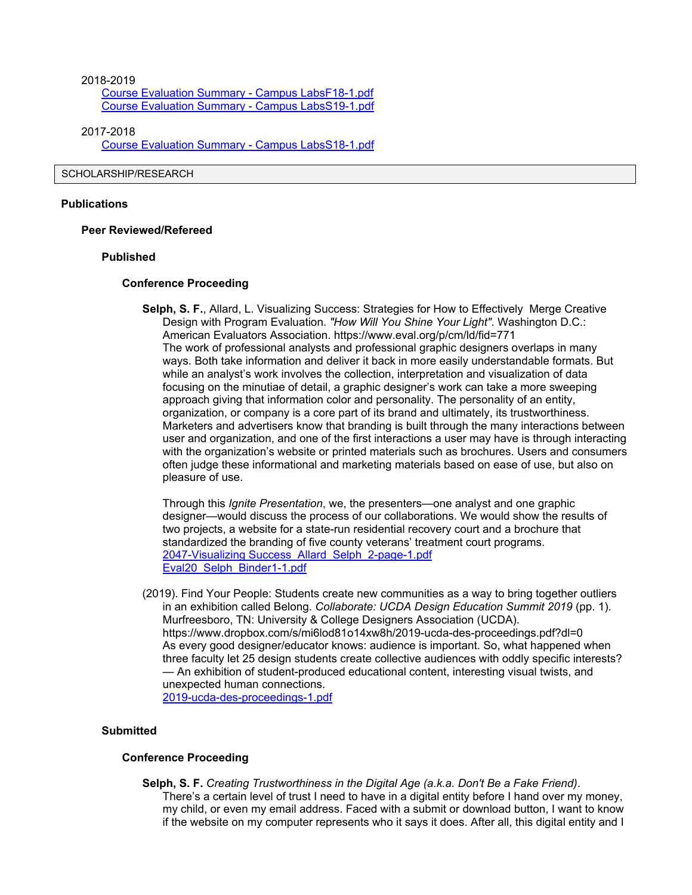2018-2019 [Course Evaluation Summary - Campus LabsF18-1.pdf](https://www.digitalmeasures.com/login/mtsu/faculty/survey/ui/showFile?file=c2VscGgvc3R1ZGVudF9ldmFsL0NvdXJzZSBFdmFsdWF0aW9uIFN1bW1hcnkgLSBDYW1wdXMgTGFi%0Ac0YxOC0xLnBkZg%3D%3D&surId=18072483&nodeId=2244842&sdId=99390822&sdSurId=18072483&rptId=30342&sgntr=6uALu%2Bu2L1kPLCf8RqumPzuxuIg%3D) [Course Evaluation Summary - Campus LabsS19-1.pdf](https://www.digitalmeasures.com/login/mtsu/faculty/survey/ui/showFile?file=c2VscGgvc3R1ZGVudF9ldmFsL0NvdXJzZSBFdmFsdWF0aW9uIFN1bW1hcnkgLSBDYW1wdXMgTGFi%0Ac1MxOS0xLnBkZg%3D%3D&surId=18072483&nodeId=2244842&sdId=99390822&sdSurId=18072483&rptId=30342&sgntr=2mH0O6TabgnYXb2vH8yRbSbvKNU%3D)

2017-2018 [Course Evaluation Summary - Campus LabsS18-1.pdf](https://www.digitalmeasures.com/login/mtsu/faculty/survey/ui/showFile?file=c2VscGgvc3R1ZGVudF9ldmFsL0NvdXJzZSBFdmFsdWF0aW9uIFN1bW1hcnkgLSBDYW1wdXMgTGFi%0Ac1MxOC0xLnBkZg%3D%3D&surId=18072483&nodeId=2244842&sdId=99390814&sdSurId=18072483&rptId=30342&sgntr=H9xK1ITaE9Ef%2F3I57dXhsGkwrEM%3D)

#### SCHOLARSHIP/RESEARCH

#### **Publications**

#### **Peer Reviewed/Refereed**

#### **Published**

#### **Conference Proceeding**

**Selph, S. F.**, Allard, L. Visualizing Success: Strategies for How to Effectively Merge Creative Design with Program Evaluation. *"How Will You Shine Your Light"*. Washington D.C.: American Evaluators Association. https://www.eval.org/p/cm/ld/fid=771 The work of professional analysts and professional graphic designers overlaps in many ways. Both take information and deliver it back in more easily understandable formats. But while an analyst's work involves the collection, interpretation and visualization of data focusing on the minutiae of detail, a graphic designer's work can take a more sweeping approach giving that information color and personality. The personality of an entity, organization, or company is a core part of its brand and ultimately, its trustworthiness. Marketers and advertisers know that branding is built through the many interactions between user and organization, and one of the first interactions a user may have is through interacting with the organization's website or printed materials such as brochures. Users and consumers often judge these informational and marketing materials based on ease of use, but also on pleasure of use.

Through this *Ignite Presentation*, we, the presenters—one analyst and one graphic designer—would discuss the process of our collaborations. We would show the results of two projects, a website for a state-run residential recovery court and a brochure that standardized the branding of five county veterans' treatment court programs. [2047-Visualizing Success\\_Allard\\_Selph\\_2-page-1.pdf](https://www.digitalmeasures.com/login/mtsu/faculty/survey/ui/showFile?file=c2VscGgvaW50ZWxsY29udC8yMDQ3LVZpc3VhbGl6aW5nIFN1Y2Nlc3NfQWxsYXJkX1NlbHBoXzIt%0AcGFnZS0xLnBkZg%3D%3D&surId=18072483&nodeId=2121528&sdId=99394241&sdSurId=18072483&rptId=30342&sgntr=u09GGri0SKYXPFrGuSS%2BkJKn%2Bp8%3D) [Eval20\\_Selph\\_Binder1-1.pdf](https://www.digitalmeasures.com/login/mtsu/faculty/survey/ui/showFile?file=c2VscGgvaW50ZWxsY29udC9FdmFsMjBfU2VscGhfQmluZGVyMS0xLnBkZg%3D%3D&surId=18072483&nodeId=2121528&sdId=99394241&sdSurId=18072483&rptId=30342&sgntr=PPlfQJiLS%2FN6qkEhUd%2BMZ2HDpDU%3D)

(2019). Find Your People: Students create new communities as a way to bring together outliers in an exhibition called Belong. *Collaborate: UCDA Design Education Summit 2019* (pp. 1). Murfreesboro, TN: University & College Designers Association (UCDA). https://www.dropbox.com/s/mi6lod81o14xw8h/2019-ucda-des-proceedings.pdf?dl=0 As every good designer/educator knows: audience is important. So, what happened when three faculty let 25 design students create collective audiences with oddly specific interests? — An exhibition of student-produced educational content, interesting visual twists, and unexpected human connections.

[2019-ucda-des-proceedings-1.pdf](https://www.digitalmeasures.com/login/mtsu/faculty/survey/ui/showFile?file=c2VscGgvaW50ZWxsY29udC8yMDE5LXVjZGEtZGVzLXByb2NlZWRpbmdzLTEucGRm&surId=18072483&nodeId=2121528&sdId=99232177&sdSurId=18072483&rptId=30342&sgntr=jIcRAYejU9vWZZLYFH7sWtBMWPA%3D)

#### **Submitted**

#### **Conference Proceeding**

**Selph, S. F.** *Creating Trustworthiness in the Digital Age (a.k.a. Don't Be a Fake Friend)*. There's a certain level of trust I need to have in a digital entity before I hand over my money, my child, or even my email address. Faced with a submit or download button, I want to know if the website on my computer represents who it says it does. After all, this digital entity and I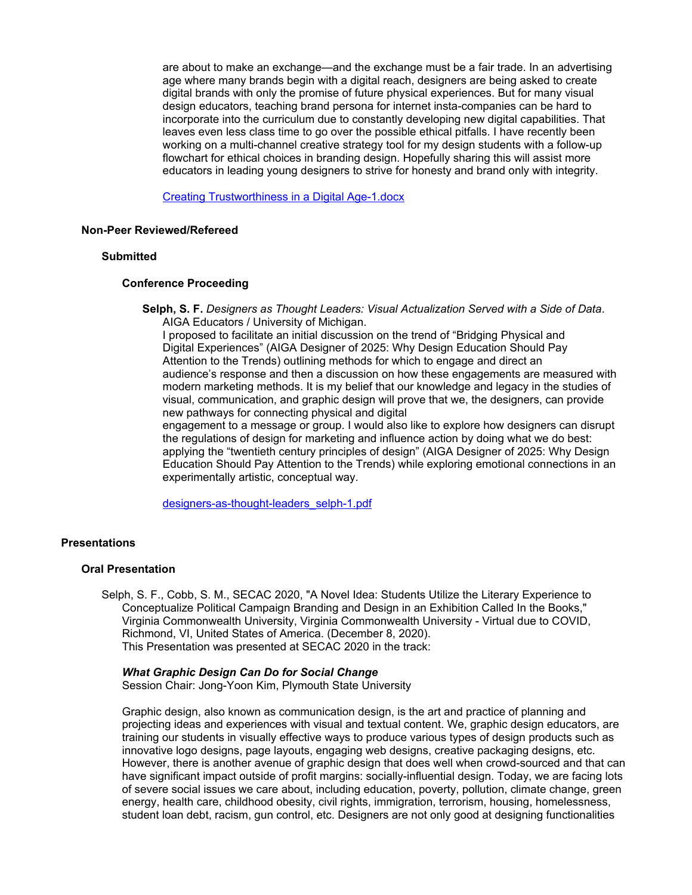are about to make an exchange—and the exchange must be a fair trade. In an advertising age where many brands begin with a digital reach, designers are being asked to create digital brands with only the promise of future physical experiences. But for many visual design educators, teaching brand persona for internet insta-companies can be hard to incorporate into the curriculum due to constantly developing new digital capabilities. That leaves even less class time to go over the possible ethical pitfalls. I have recently been working on a multi-channel creative strategy tool for my design students with a follow-up flowchart for ethical choices in branding design. Hopefully sharing this will assist more educators in leading young designers to strive for honesty and brand only with integrity.

[Creating Trustworthiness in a Digital Age-1.docx](https://www.digitalmeasures.com/login/mtsu/faculty/survey/ui/showFile?file=c2VscGgvaW50ZWxsY29udC9DcmVhdGluZyBUcnVzdHdvcnRoaW5lc3MgaW4gYSBEaWdpdGFsIEFn%0AZS0xLmRvY3g%3D&surId=18072483&nodeId=2121528&sdId=99394001&sdSurId=18072483&rptId=30342&sgntr=FDjvr5LndE%2FB%2Bxd3WjqAy%2FnrD6Q%3D)

#### **Non-Peer Reviewed/Refereed**

#### **Submitted**

#### **Conference Proceeding**

**Selph, S. F.** *Designers as Thought Leaders: Visual Actualization Served with a Side of Data*. AIGA Educators / University of Michigan.

I proposed to facilitate an initial discussion on the trend of "Bridging Physical and Digital Experiences" (AIGA Designer of 2025: Why Design Education Should Pay Attention to the Trends) outlining methods for which to engage and direct an audience's response and then a discussion on how these engagements are measured with modern marketing methods. It is my belief that our knowledge and legacy in the studies of visual, communication, and graphic design will prove that we, the designers, can provide new pathways for connecting physical and digital

engagement to a message or group. I would also like to explore how designers can disrupt the regulations of design for marketing and influence action by doing what we do best: applying the "twentieth century principles of design" (AIGA Designer of 2025: Why Design Education Should Pay Attention to the Trends) while exploring emotional connections in an experimentally artistic, conceptual way.

[designers-as-thought-leaders\\_selph-1.pdf](https://www.digitalmeasures.com/login/mtsu/faculty/survey/ui/showFile?file=c2VscGgvaW50ZWxsY29udC9kZXNpZ25lcnMtYXMtdGhvdWdodC1sZWFkZXJzX3NlbHBoLTEucGRm%0A&surId=18072483&nodeId=2121528&sdId=99395746&sdSurId=18072483&rptId=30342&sgntr=%2FEazuHM6j1myhVFhcWEM4pvhNpM%3D)

#### **Presentations**

#### **Oral Presentation**

Selph, S. F., Cobb, S. M., SECAC 2020, "A Novel Idea: Students Utilize the Literary Experience to Conceptualize Political Campaign Branding and Design in an Exhibition Called In the Books," Virginia Commonwealth University, Virginia Commonwealth University - Virtual due to COVID, Richmond, VI, United States of America. (December 8, 2020). This Presentation was presented at SECAC 2020 in the track:

#### *What Graphic Design Can Do for Social Change*

Session Chair: Jong-Yoon Kim, Plymouth State University

Graphic design, also known as communication design, is the art and practice of planning and projecting ideas and experiences with visual and textual content. We, graphic design educators, are training our students in visually effective ways to produce various types of design products such as innovative logo designs, page layouts, engaging web designs, creative packaging designs, etc. However, there is another avenue of graphic design that does well when crowd-sourced and that can have significant impact outside of profit margins: socially-influential design. Today, we are facing lots of severe social issues we care about, including education, poverty, pollution, climate change, green energy, health care, childhood obesity, civil rights, immigration, terrorism, housing, homelessness, student loan debt, racism, gun control, etc. Designers are not only good at designing functionalities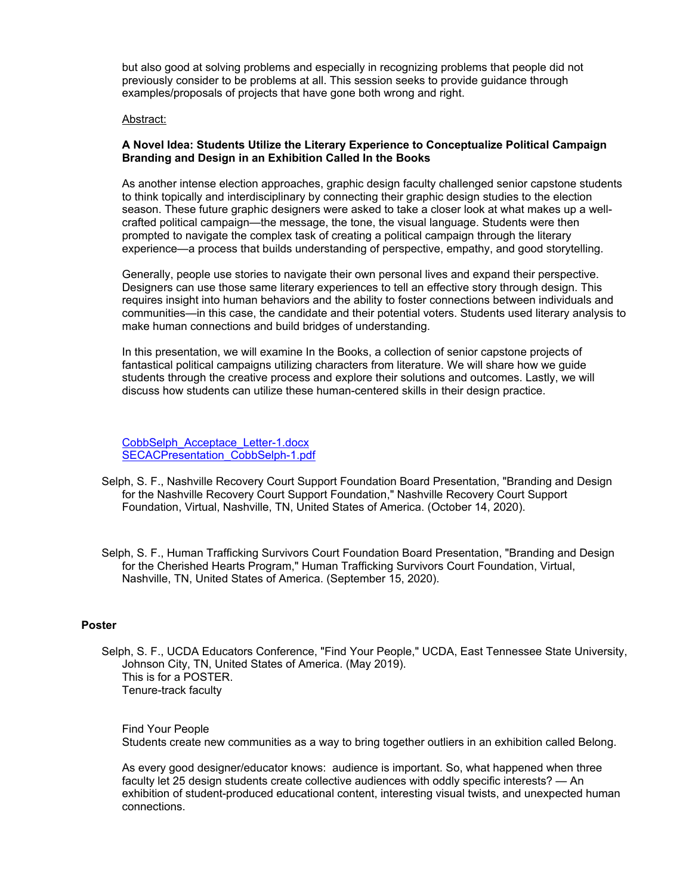but also good at solving problems and especially in recognizing problems that people did not previously consider to be problems at all. This session seeks to provide guidance through examples/proposals of projects that have gone both wrong and right.

#### Abstract:

#### **A Novel Idea: Students Utilize the Literary Experience to Conceptualize Political Campaign Branding and Design in an Exhibition Called In the Books**

As another intense election approaches, graphic design faculty challenged senior capstone students to think topically and interdisciplinary by connecting their graphic design studies to the election season. These future graphic designers were asked to take a closer look at what makes up a wellcrafted political campaign—the message, the tone, the visual language. Students were then prompted to navigate the complex task of creating a political campaign through the literary experience—a process that builds understanding of perspective, empathy, and good storytelling.

Generally, people use stories to navigate their own personal lives and expand their perspective. Designers can use those same literary experiences to tell an effective story through design. This requires insight into human behaviors and the ability to foster connections between individuals and communities—in this case, the candidate and their potential voters. Students used literary analysis to make human connections and build bridges of understanding.

In this presentation, we will examine In the Books, a collection of senior capstone projects of fantastical political campaigns utilizing characters from literature. We will share how we guide students through the creative process and explore their solutions and outcomes. Lastly, we will discuss how students can utilize these human-centered skills in their design practice.

[CobbSelph\\_Acceptace\\_Letter-1.docx](https://www.digitalmeasures.com/login/mtsu/faculty/survey/ui/showFile?file=c2VscGgvcHJlc2VudC9Db2JiU2VscGhfQWNjZXB0YWNlX0xldHRlci0xLmRvY3g%3D&surId=18072483&nodeId=2121469&sdId=103957566&sdSurId=18072483&rptId=30342&sgntr=MvXU8%2BKPMJkiwHxNHtVqLOM7xBk%3D) [SECACPresentation\\_CobbSelph-1.pdf](https://www.digitalmeasures.com/login/mtsu/faculty/survey/ui/showFile?file=c2VscGgvcHJlc2VudC9TRUNBQ1ByZXNlbnRhdGlvbl9Db2JiU2VscGgtMS5wZGY%3D&surId=18072483&nodeId=2121469&sdId=103957566&sdSurId=18072483&rptId=30342&sgntr=jFErxa%2F3r9iSzuFGTY8AZi7DF6Q%3D)

- Selph, S. F., Nashville Recovery Court Support Foundation Board Presentation, "Branding and Design for the Nashville Recovery Court Support Foundation," Nashville Recovery Court Support Foundation, Virtual, Nashville, TN, United States of America. (October 14, 2020).
- Selph, S. F., Human Trafficking Survivors Court Foundation Board Presentation, "Branding and Design for the Cherished Hearts Program," Human Trafficking Survivors Court Foundation, Virtual, Nashville, TN, United States of America. (September 15, 2020).

#### **Poster**

Selph, S. F., UCDA Educators Conference, "Find Your People," UCDA, East Tennessee State University, Johnson City, TN, United States of America. (May 2019). This is for a POSTER. Tenure-track faculty

Find Your People Students create new communities as a way to bring together outliers in an exhibition called Belong.

As every good designer/educator knows: audience is important. So, what happened when three faculty let 25 design students create collective audiences with oddly specific interests? — An exhibition of student-produced educational content, interesting visual twists, and unexpected human connections.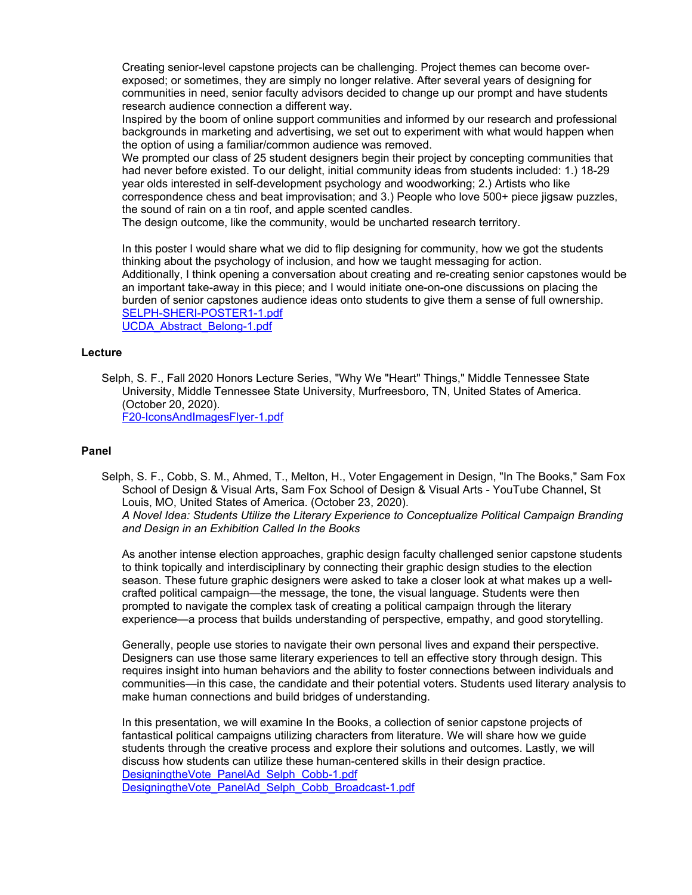Creating senior-level capstone projects can be challenging. Project themes can become overexposed; or sometimes, they are simply no longer relative. After several years of designing for communities in need, senior faculty advisors decided to change up our prompt and have students research audience connection a different way.

Inspired by the boom of online support communities and informed by our research and professional backgrounds in marketing and advertising, we set out to experiment with what would happen when the option of using a familiar/common audience was removed.

We prompted our class of 25 student designers begin their project by concepting communities that had never before existed. To our delight, initial community ideas from students included: 1.) 18-29 year olds interested in self-development psychology and woodworking; 2.) Artists who like correspondence chess and beat improvisation; and 3.) People who love 500+ piece jigsaw puzzles, the sound of rain on a tin roof, and apple scented candles.

The design outcome, like the community, would be uncharted research territory.

In this poster I would share what we did to flip designing for community, how we got the students thinking about the psychology of inclusion, and how we taught messaging for action. Additionally, I think opening a conversation about creating and re-creating senior capstones would be an important take-away in this piece; and I would initiate one-on-one discussions on placing the burden of senior capstones audience ideas onto students to give them a sense of full ownership. [SELPH-SHERI-POSTER1-1.pdf](https://www.digitalmeasures.com/login/mtsu/faculty/survey/ui/showFile?file=c2VscGgvcHJlc2VudC9TRUxQSC1TSEVSSS1QT1NURVIxLTEucGRm&surId=18072483&nodeId=2121469&sdId=92882345&sdSurId=18072483&rptId=30342&sgntr=4IGbkwr1FK9A1UVek8qyhxSCvR0%3D) [UCDA\\_Abstract\\_Belong-1.pdf](https://www.digitalmeasures.com/login/mtsu/faculty/survey/ui/showFile?file=c2VscGgvcHJlc2VudC9VQ0RBX0Fic3RyYWN0X0JlbG9uZy0xLnBkZg%3D%3D&surId=18072483&nodeId=2121469&sdId=92882345&sdSurId=18072483&rptId=30342&sgntr=JkFZsevTtYhnfrEyd3Ouvd1UYU0%3D)

#### **Lecture**

Selph, S. F., Fall 2020 Honors Lecture Series, "Why We "Heart" Things," Middle Tennessee State University, Middle Tennessee State University, Murfreesboro, TN, United States of America. (October 20, 2020).

[F20-IconsAndImagesFlyer-1.pdf](https://www.digitalmeasures.com/login/mtsu/faculty/survey/ui/showFile?file=c2VscGgvcHJlc2VudC9GMjAtSWNvbnNBbmRJbWFnZXNGbHllci0xLnBkZg%3D%3D&surId=18072483&nodeId=2121469&sdId=103110851&sdSurId=18072483&rptId=30342&sgntr=R7zjEjB4BFUdYqi8K%2Fgs2GmVwek%3D)

#### **Panel**

Selph, S. F., Cobb, S. M., Ahmed, T., Melton, H., Voter Engagement in Design, "In The Books," Sam Fox School of Design & Visual Arts, Sam Fox School of Design & Visual Arts - YouTube Channel, St Louis, MO, United States of America. (October 23, 2020). *A Novel Idea: Students Utilize the Literary Experience to Conceptualize Political Campaign Branding and Design in an Exhibition Called In the Books*

As another intense election approaches, graphic design faculty challenged senior capstone students to think topically and interdisciplinary by connecting their graphic design studies to the election season. These future graphic designers were asked to take a closer look at what makes up a wellcrafted political campaign—the message, the tone, the visual language. Students were then prompted to navigate the complex task of creating a political campaign through the literary experience—a process that builds understanding of perspective, empathy, and good storytelling.

Generally, people use stories to navigate their own personal lives and expand their perspective. Designers can use those same literary experiences to tell an effective story through design. This requires insight into human behaviors and the ability to foster connections between individuals and communities—in this case, the candidate and their potential voters. Students used literary analysis to make human connections and build bridges of understanding.

In this presentation, we will examine In the Books, a collection of senior capstone projects of fantastical political campaigns utilizing characters from literature. We will share how we guide students through the creative process and explore their solutions and outcomes. Lastly, we will discuss how students can utilize these human-centered skills in their design practice. [DesigningtheVote\\_PanelAd\\_Selph\\_Cobb-1.pdf](https://www.digitalmeasures.com/login/mtsu/faculty/survey/ui/showFile?file=c2VscGgvcHJlc2VudC9EZXNpZ25pbmd0aGVWb3RlX1BhbmVsQWRfU2VscGhfQ29iYi0xLnBkZg%3D%3D&surId=18072483&nodeId=2121469&sdId=103111162&sdSurId=18072483&rptId=30342&sgntr=2j2aAPHbOCribDcZ2MtLpOkmsYA%3D) [DesigningtheVote\\_PanelAd\\_Selph\\_Cobb\\_Broadcast-1.pdf](https://www.digitalmeasures.com/login/mtsu/faculty/survey/ui/showFile?file=c2VscGgvcHJlc2VudC9EZXNpZ25pbmd0aGVWb3RlX1BhbmVsQWRfU2VscGhfQ29iYl9Ccm9hZGNh%0Ac3QtMS5wZGY%3D&surId=18072483&nodeId=2121469&sdId=103111162&sdSurId=18072483&rptId=30342&sgntr=etJN95w3X63OieKQcWt5QSgOmOY%3D)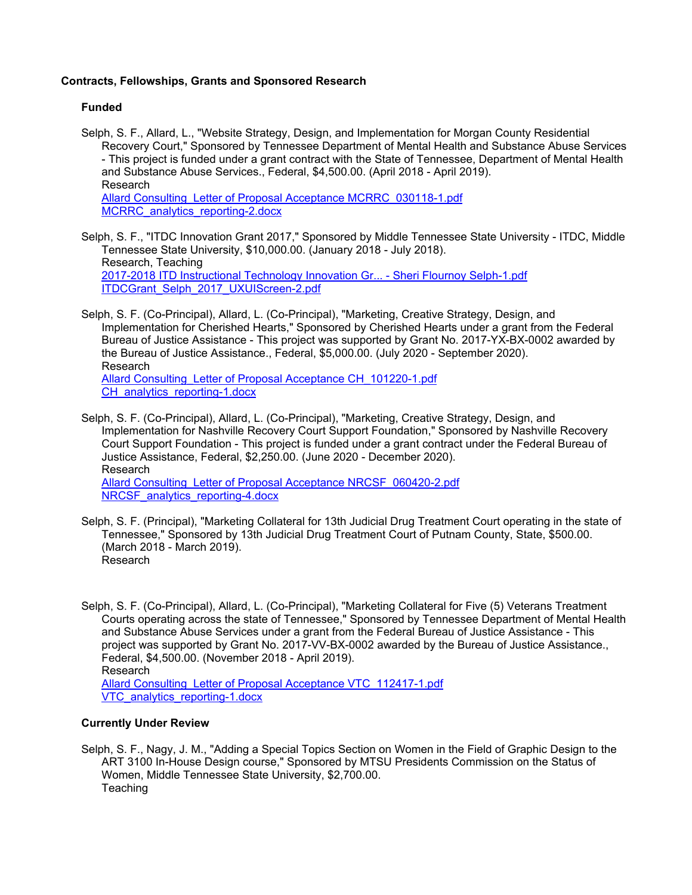#### **Contracts, Fellowships, Grants and Sponsored Research**

#### **Funded**

- Selph, S. F., Allard, L., "Website Strategy, Design, and Implementation for Morgan County Residential Recovery Court," Sponsored by Tennessee Department of Mental Health and Substance Abuse Services - This project is funded under a grant contract with the State of Tennessee, Department of Mental Health and Substance Abuse Services., Federal, \$4,500.00. (April 2018 - April 2019). Research [Allard Consulting\\_Letter of Proposal Acceptance MCRRC\\_030118-1.pdf](https://www.digitalmeasures.com/login/mtsu/faculty/survey/ui/showFile?file=c2VscGgvY29uZ3JhbnQvQWxsYXJkIENvbnN1bHRpbmdfTGV0dGVyIG9mIFByb3Bvc2FsIEFjY2Vw%0AdGFuY2UgTUNSUkNfMDMwMTE4LTEucGRm&surId=18072483&nodeId=2121300&sdId=97375942&sdSurId=18072483&rptId=30342&sgntr=wuMYwAbA%2BOWujdr2%2BFR1%2FSL9uCE%3D) [MCRRC\\_analytics\\_reporting-2.docx](https://www.digitalmeasures.com/login/mtsu/faculty/survey/ui/showFile?file=c2VscGgvY29uZ3JhbnQvTUNSUkNfYW5hbHl0aWNzX3JlcG9ydGluZy0yLmRvY3g%3D&surId=18072483&nodeId=2121300&sdId=97375942&sdSurId=18072483&rptId=30342&sgntr=pOZIOxKD2A%2F2x34qvbbJkxUG6Is%3D)
- Selph, S. F., "ITDC Innovation Grant 2017," Sponsored by Middle Tennessee State University ITDC, Middle Tennessee State University, \$10,000.00. (January 2018 - July 2018). Research, Teaching [2017-2018 ITD Instructional Technology Innovation Gr... - Sheri Flournoy Selph-1.pdf](https://www.digitalmeasures.com/login/mtsu/faculty/survey/ui/showFile?file=c2VscGgvY29uZ3JhbnQvMjAxNy0yMDE4IElURCBJbnN0cnVjdGlvbmFsIFRlY2hub2xvZ3kgSW5u%0Ab3ZhdGlvbiBHci4uLiAtIFNoZXJpIEZsb3Vybm95IFNlbHBoLTEucGRm&surId=18072483&nodeId=2121300&sdId=93117262&sdSurId=18072483&rptId=30342&sgntr=HOR%2FcdmY9A%2BJukh4%2FbXOichTpBA%3D) [ITDCGrant\\_Selph\\_2017\\_UXUIScreen-2.pdf](https://www.digitalmeasures.com/login/mtsu/faculty/survey/ui/showFile?file=c2VscGgvY29uZ3JhbnQvSVREQ0dyYW50X1NlbHBoXzIwMTdfVVhVSVNjcmVlbi0yLnBkZg%3D%3D&surId=18072483&nodeId=2121300&sdId=93117262&sdSurId=18072483&rptId=30342&sgntr=0OPaU8ZabSwUAEJIPLCUdLB46iI%3D)
- Selph, S. F. (Co-Principal), Allard, L. (Co-Principal), "Marketing, Creative Strategy, Design, and Implementation for Cherished Hearts," Sponsored by Cherished Hearts under a grant from the Federal Bureau of Justice Assistance - This project was supported by Grant No. 2017-YX-BX-0002 awarded by the Bureau of Justice Assistance., Federal, \$5,000.00. (July 2020 - September 2020). Research [Allard Consulting\\_Letter of Proposal Acceptance CH\\_101220-1.pdf](https://www.digitalmeasures.com/login/mtsu/faculty/survey/ui/showFile?file=c2VscGgvY29uZ3JhbnQvQWxsYXJkIENvbnN1bHRpbmdfTGV0dGVyIG9mIFByb3Bvc2FsIEFjY2Vw%0AdGFuY2UgQ0hfMTAxMjIwLTEucGRm&surId=18072483&nodeId=2121300&sdId=102398811&sdSurId=18072483&rptId=30342&sgntr=xOOmJtTequ1LIkVlwe2UhG0zA%2BU%3D)

CH analytics reporting-1.docx

- Selph, S. F. (Co-Principal), Allard, L. (Co-Principal), "Marketing, Creative Strategy, Design, and Implementation for Nashville Recovery Court Support Foundation," Sponsored by Nashville Recovery Court Support Foundation - This project is funded under a grant contract under the Federal Bureau of Justice Assistance, Federal, \$2,250.00. (June 2020 - December 2020). Research Allard Consulting Letter of Proposal Acceptance NRCSF 060420-2.pdf NRCSF analytics reporting-4.docx
- Selph, S. F. (Principal), "Marketing Collateral for 13th Judicial Drug Treatment Court operating in the state of Tennessee," Sponsored by 13th Judicial Drug Treatment Court of Putnam County, State, \$500.00. (March 2018 - March 2019). Research

Selph, S. F. (Co-Principal), Allard, L. (Co-Principal), "Marketing Collateral for Five (5) Veterans Treatment Courts operating across the state of Tennessee," Sponsored by Tennessee Department of Mental Health and Substance Abuse Services under a grant from the Federal Bureau of Justice Assistance - This project was supported by Grant No. 2017-VV-BX-0002 awarded by the Bureau of Justice Assistance., Federal, \$4,500.00. (November 2018 - April 2019). Research [Allard Consulting\\_Letter of Proposal Acceptance VTC\\_112417-1.pdf](https://www.digitalmeasures.com/login/mtsu/faculty/survey/ui/showFile?file=c2VscGgvY29uZ3JhbnQvQWxsYXJkIENvbnN1bHRpbmdfTGV0dGVyIG9mIFByb3Bvc2FsIEFjY2Vw%0AdGFuY2UgVlRDXzExMjQxNy0xLnBkZg%3D%3D&surId=18072483&nodeId=2121300&sdId=97375982&sdSurId=18072483&rptId=30342&sgntr=UX%2BKlHbGWh8EZqy9Sfq1snTnS%2Fo%3D) VTC analytics reporting-1.docx

#### **Currently Under Review**

Selph, S. F., Nagy, J. M., "Adding a Special Topics Section on Women in the Field of Graphic Design to the ART 3100 In-House Design course," Sponsored by MTSU Presidents Commission on the Status of Women, Middle Tennessee State University, \$2,700.00. **Teaching**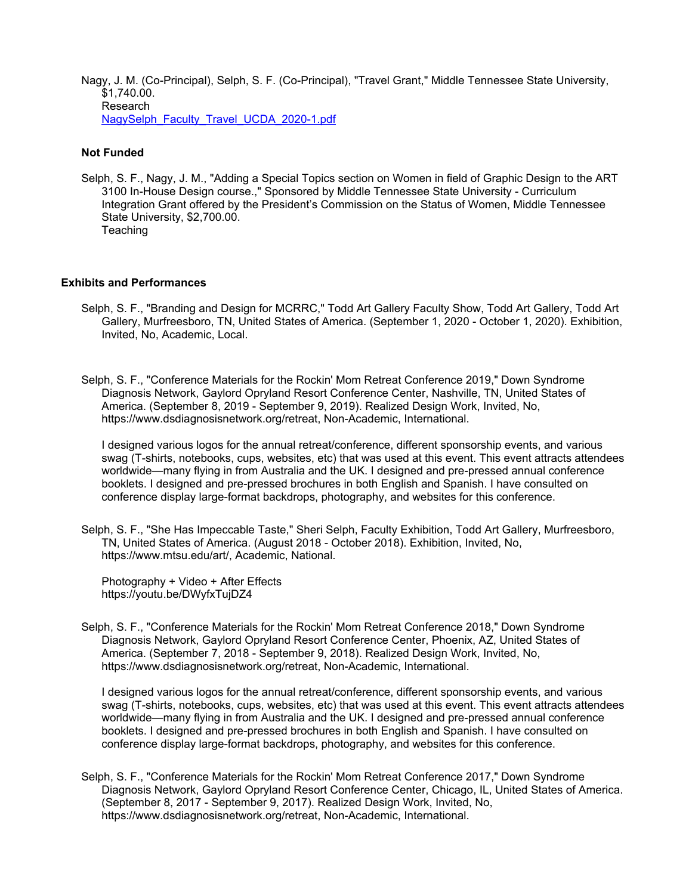Nagy, J. M. (Co-Principal), Selph, S. F. (Co-Principal), "Travel Grant," Middle Tennessee State University, \$1,740.00. Research [NagySelph\\_Faculty\\_Travel\\_UCDA\\_2020-1.pdf](https://www.digitalmeasures.com/login/mtsu/faculty/survey/ui/showFile?file=am5hZ3kvY29uZ3JhbnQvTmFneVNlbHBoX0ZhY3VsdHlfVHJhdmVsX1VDREFfMjAyMC0xLnBkZg%3D%3D&surId=18072483&nodeId=2121300&sdId=98819298&sdSurId=18072483&rptId=30342&sgntr=dGiiAG8U1NVUcFrW%2BAATXyBMdZE%3D)

#### **Not Funded**

Selph, S. F., Nagy, J. M., "Adding a Special Topics section on Women in field of Graphic Design to the ART 3100 In-House Design course.," Sponsored by Middle Tennessee State University - Curriculum Integration Grant offered by the President's Commission on the Status of Women, Middle Tennessee State University, \$2,700.00. **Teaching** 

#### **Exhibits and Performances**

- Selph, S. F., "Branding and Design for MCRRC," Todd Art Gallery Faculty Show, Todd Art Gallery, Todd Art Gallery, Murfreesboro, TN, United States of America. (September 1, 2020 - October 1, 2020). Exhibition, Invited, No, Academic, Local.
- Selph, S. F., "Conference Materials for the Rockin' Mom Retreat Conference 2019," Down Syndrome Diagnosis Network, Gaylord Opryland Resort Conference Center, Nashville, TN, United States of America. (September 8, 2019 - September 9, 2019). Realized Design Work, Invited, No, https://www.dsdiagnosisnetwork.org/retreat, Non-Academic, International.

I designed various logos for the annual retreat/conference, different sponsorship events, and various swag (T-shirts, notebooks, cups, websites, etc) that was used at this event. This event attracts attendees worldwide—many flying in from Australia and the UK. I designed and pre-pressed annual conference booklets. I designed and pre-pressed brochures in both English and Spanish. I have consulted on conference display large-format backdrops, photography, and websites for this conference.

Selph, S. F., "She Has Impeccable Taste," Sheri Selph, Faculty Exhibition, Todd Art Gallery, Murfreesboro, TN, United States of America. (August 2018 - October 2018). Exhibition, Invited, No, https://www.mtsu.edu/art/, Academic, National.

Photography + Video + After Effects https://youtu.be/DWyfxTujDZ4

Selph, S. F., "Conference Materials for the Rockin' Mom Retreat Conference 2018," Down Syndrome Diagnosis Network, Gaylord Opryland Resort Conference Center, Phoenix, AZ, United States of America. (September 7, 2018 - September 9, 2018). Realized Design Work, Invited, No, https://www.dsdiagnosisnetwork.org/retreat, Non-Academic, International.

I designed various logos for the annual retreat/conference, different sponsorship events, and various swag (T-shirts, notebooks, cups, websites, etc) that was used at this event. This event attracts attendees worldwide—many flying in from Australia and the UK. I designed and pre-pressed annual conference booklets. I designed and pre-pressed brochures in both English and Spanish. I have consulted on conference display large-format backdrops, photography, and websites for this conference.

Selph, S. F., "Conference Materials for the Rockin' Mom Retreat Conference 2017," Down Syndrome Diagnosis Network, Gaylord Opryland Resort Conference Center, Chicago, IL, United States of America. (September 8, 2017 - September 9, 2017). Realized Design Work, Invited, No, https://www.dsdiagnosisnetwork.org/retreat, Non-Academic, International.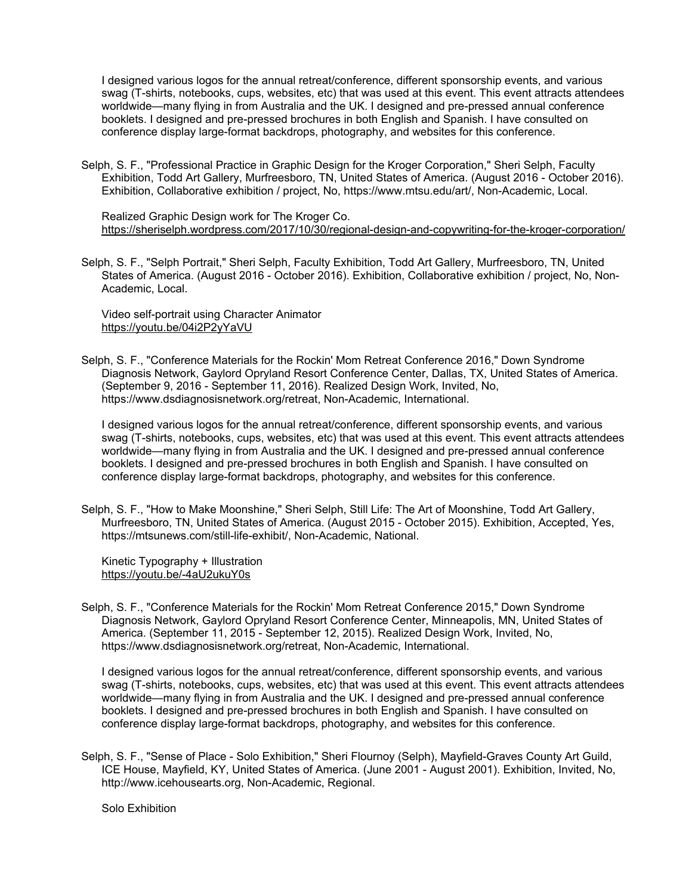I designed various logos for the annual retreat/conference, different sponsorship events, and various swag (T-shirts, notebooks, cups, websites, etc) that was used at this event. This event attracts attendees worldwide—many flying in from Australia and the UK. I designed and pre-pressed annual conference booklets. I designed and pre-pressed brochures in both English and Spanish. I have consulted on conference display large-format backdrops, photography, and websites for this conference.

Selph, S. F., "Professional Practice in Graphic Design for the Kroger Corporation," Sheri Selph, Faculty Exhibition, Todd Art Gallery, Murfreesboro, TN, United States of America. (August 2016 - October 2016). Exhibition, Collaborative exhibition / project, No, https://www.mtsu.edu/art/, Non-Academic, Local.

Realized Graphic Design work for The Kroger Co. https://sheriselph.wordpress.com/2017/10/30/regional-design-and-copywriting-for-the-kroger-corporation/

Selph, S. F., "Selph Portrait," Sheri Selph, Faculty Exhibition, Todd Art Gallery, Murfreesboro, TN, United States of America. (August 2016 - October 2016). Exhibition, Collaborative exhibition / project, No, Non-Academic, Local.

Video self-portrait using Character Animator https://youtu.be/04i2P2yYaVU

Selph, S. F., "Conference Materials for the Rockin' Mom Retreat Conference 2016," Down Syndrome Diagnosis Network, Gaylord Opryland Resort Conference Center, Dallas, TX, United States of America. (September 9, 2016 - September 11, 2016). Realized Design Work, Invited, No, https://www.dsdiagnosisnetwork.org/retreat, Non-Academic, International.

I designed various logos for the annual retreat/conference, different sponsorship events, and various swag (T-shirts, notebooks, cups, websites, etc) that was used at this event. This event attracts attendees worldwide—many flying in from Australia and the UK. I designed and pre-pressed annual conference booklets. I designed and pre-pressed brochures in both English and Spanish. I have consulted on conference display large-format backdrops, photography, and websites for this conference.

Selph, S. F., "How to Make Moonshine," Sheri Selph, Still Life: The Art of Moonshine, Todd Art Gallery, Murfreesboro, TN, United States of America. (August 2015 - October 2015). Exhibition, Accepted, Yes, https://mtsunews.com/still-life-exhibit/, Non-Academic, National.

Kinetic Typography + Illustration https://youtu.be/-4aU2ukuY0s

Selph, S. F., "Conference Materials for the Rockin' Mom Retreat Conference 2015," Down Syndrome Diagnosis Network, Gaylord Opryland Resort Conference Center, Minneapolis, MN, United States of America. (September 11, 2015 - September 12, 2015). Realized Design Work, Invited, No, https://www.dsdiagnosisnetwork.org/retreat, Non-Academic, International.

I designed various logos for the annual retreat/conference, different sponsorship events, and various swag (T-shirts, notebooks, cups, websites, etc) that was used at this event. This event attracts attendees worldwide—many flying in from Australia and the UK. I designed and pre-pressed annual conference booklets. I designed and pre-pressed brochures in both English and Spanish. I have consulted on conference display large-format backdrops, photography, and websites for this conference.

Selph, S. F., "Sense of Place - Solo Exhibition," Sheri Flournoy (Selph), Mayfield-Graves County Art Guild, ICE House, Mayfield, KY, United States of America. (June 2001 - August 2001). Exhibition, Invited, No, http://www.icehousearts.org, Non-Academic, Regional.

Solo Exhibition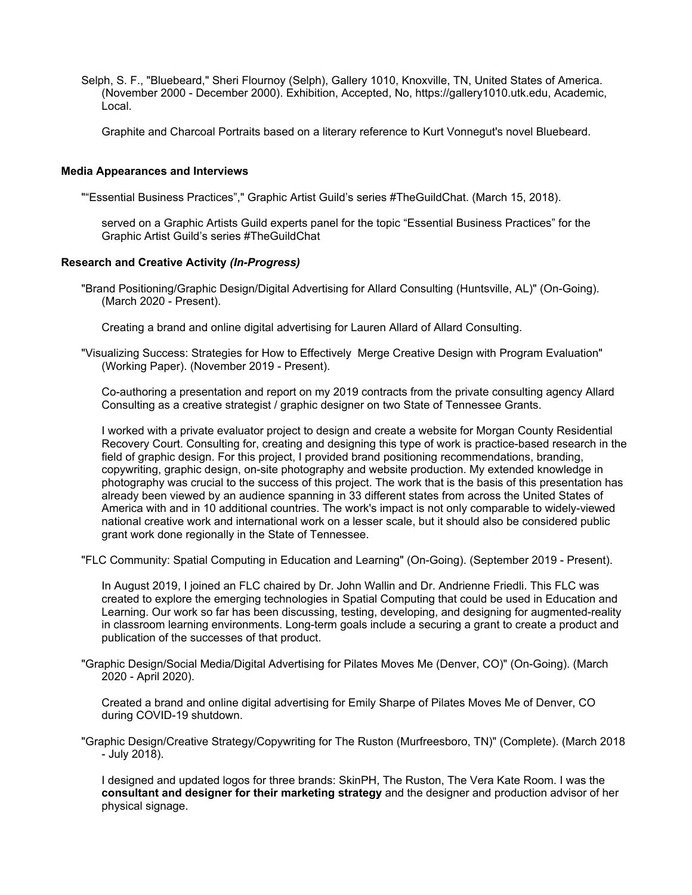Selph, S. F., "Bluebeard," Sheri Flournoy (Selph), Gallery 1010, Knoxville, TN, United States of America. (November 2000 - December 2000). Exhibition, Accepted, No, https://gallery1010.utk.edu, Academic, Local.

Graphite and Charcoal Portraits based on a literary reference to Kurt Vonnegut's novel Bluebeard.

#### **Media Appearances and Interviews**

""Essential Business Practices"," Graphic Artist Guild's series #TheGuildChat. (March 15, 2018).

served on a Graphic Artists Guild experts panel for the topic "Essential Business Practices" for the Graphic Artist Guild's series #TheGuildChat

#### **Research and Creative Activity** *(In-Progress)*

"Brand Positioning/Graphic Design/Digital Advertising for Allard Consulting (Huntsville, AL)" (On-Going). (March 2020 - Present).

Creating a brand and online digital advertising for Lauren Allard of Allard Consulting.

"Visualizing Success: Strategies for How to Effectively Merge Creative Design with Program Evaluation" (Working Paper). (November 2019 - Present).

Co-authoring a presentation and report on my 2019 contracts from the private consulting agency Allard Consulting as a creative strategist / graphic designer on two State of Tennessee Grants.

I worked with a private evaluator project to design and create a website for Morgan County Residential Recovery Court. Consulting for, creating and designing this type of work is practice-based research in the field of graphic design. For this project, I provided brand positioning recommendations, branding, copywriting, graphic design, on-site photography and website production. My extended knowledge in photography was crucial to the success of this project. The work that is the basis of this presentation has already been viewed by an audience spanning in 33 different states from across the United States of America with and in 10 additional countries. The work's impact is not only comparable to widely-viewed national creative work and international work on a lesser scale, but it should also be considered public grant work done regionally in the State of Tennessee.

"FLC Community: Spatial Computing in Education and Learning" (On-Going). (September 2019 - Present).

In August 2019, I joined an FLC chaired by Dr. John Wallin and Dr. Andrienne Friedli. This FLC was created to explore the emerging technologies in Spatial Computing that could be used in Education and Learning. Our work so far has been discussing, testing, developing, and designing for augmented-reality in classroom learning environments. Long-term goals include a securing a grant to create a product and publication of the successes of that product.

"Graphic Design/Social Media/Digital Advertising for Pilates Moves Me (Denver, CO)" (On-Going). (March 2020 - April 2020).

Created a brand and online digital advertising for Emily Sharpe of Pilates Moves Me of Denver, CO during COVID-19 shutdown.

"Graphic Design/Creative Strategy/Copywriting for The Ruston (Murfreesboro, TN)" (Complete). (March 2018 - July 2018).

I designed and updated logos for three brands: SkinPH, The Ruston, The Vera Kate Room. I was the **consultant and designer for their marketing strategy** and the designer and production advisor of her physical signage.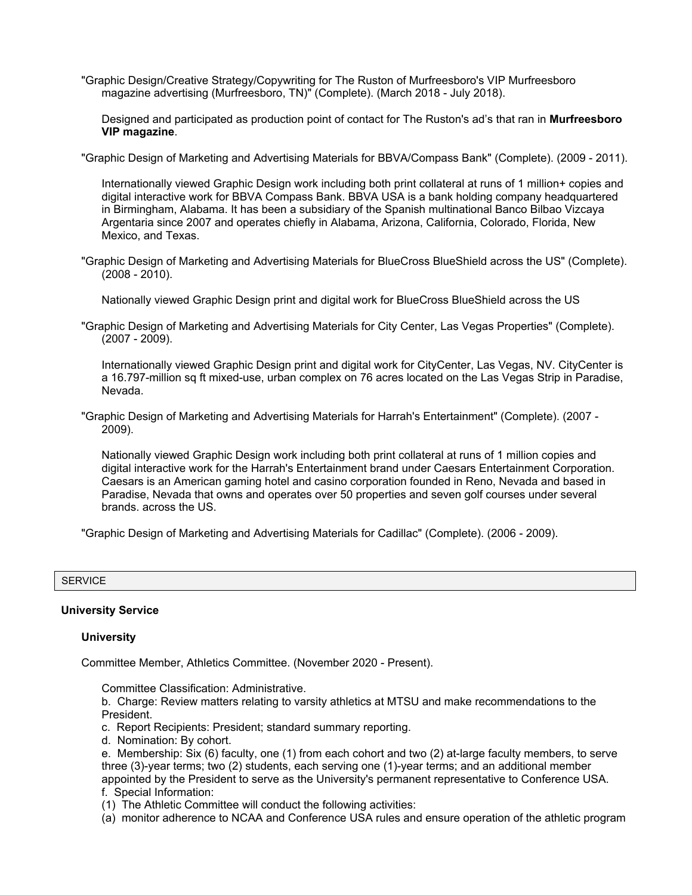"Graphic Design/Creative Strategy/Copywriting for The Ruston of Murfreesboro's VIP Murfreesboro magazine advertising (Murfreesboro, TN)" (Complete). (March 2018 - July 2018).

Designed and participated as production point of contact for The Ruston's ad's that ran in **Murfreesboro VIP magazine**.

"Graphic Design of Marketing and Advertising Materials for BBVA/Compass Bank" (Complete). (2009 - 2011).

Internationally viewed Graphic Design work including both print collateral at runs of 1 million+ copies and digital interactive work for BBVA Compass Bank. BBVA USA is a bank holding company headquartered in Birmingham, Alabama. It has been a subsidiary of the Spanish multinational Banco Bilbao Vizcaya Argentaria since 2007 and operates chiefly in Alabama, Arizona, California, Colorado, Florida, New Mexico, and Texas.

"Graphic Design of Marketing and Advertising Materials for BlueCross BlueShield across the US" (Complete). (2008 - 2010).

Nationally viewed Graphic Design print and digital work for BlueCross BlueShield across the US

"Graphic Design of Marketing and Advertising Materials for City Center, Las Vegas Properties" (Complete). (2007 - 2009).

Internationally viewed Graphic Design print and digital work for CityCenter, Las Vegas, NV. CityCenter is a 16.797-million sq ft mixed-use, urban complex on 76 acres located on the Las Vegas Strip in Paradise, Nevada.

"Graphic Design of Marketing and Advertising Materials for Harrah's Entertainment" (Complete). (2007 - 2009).

Nationally viewed Graphic Design work including both print collateral at runs of 1 million copies and digital interactive work for the Harrah's Entertainment brand under Caesars Entertainment Corporation. Caesars is an American gaming hotel and casino corporation founded in Reno, Nevada and based in Paradise, Nevada that owns and operates over 50 properties and seven golf courses under several brands. across the US.

"Graphic Design of Marketing and Advertising Materials for Cadillac" (Complete). (2006 - 2009).

#### **SERVICE**

#### **University Service**

#### **University**

Committee Member, Athletics Committee. (November 2020 - Present).

Committee Classification: Administrative.

b. Charge: Review matters relating to varsity athletics at MTSU and make recommendations to the President.

- c. Report Recipients: President; standard summary reporting.
- d. Nomination: By cohort.

e. Membership: Six (6) faculty, one (1) from each cohort and two (2) at-large faculty members, to serve three (3)-year terms; two (2) students, each serving one (1)-year terms; and an additional member appointed by the President to serve as the University's permanent representative to Conference USA. f. Special Information:

- (1) The Athletic Committee will conduct the following activities:
- (a) monitor adherence to NCAA and Conference USA rules and ensure operation of the athletic program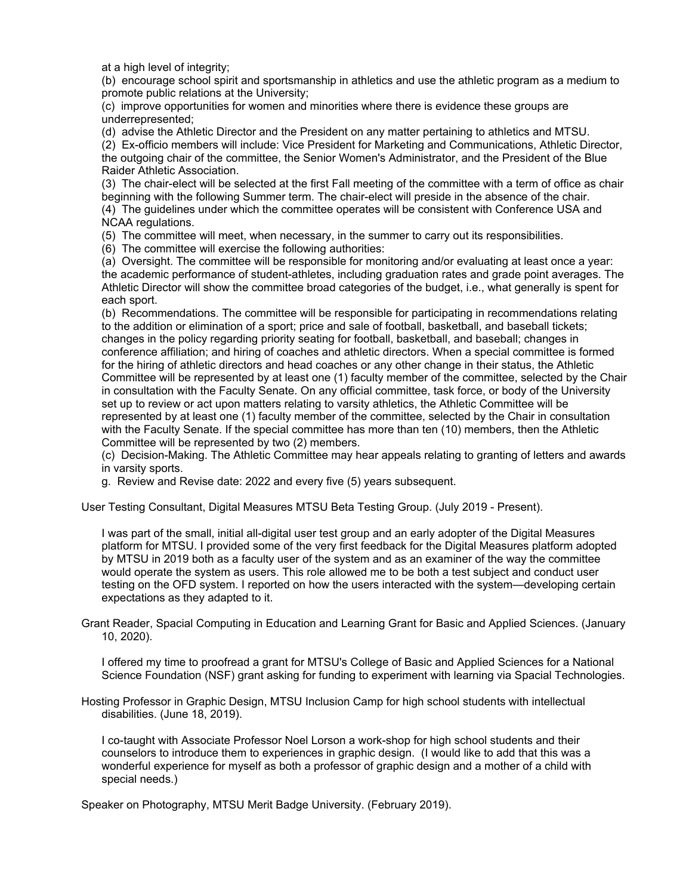at a high level of integrity;

(b) encourage school spirit and sportsmanship in athletics and use the athletic program as a medium to promote public relations at the University;

(c) improve opportunities for women and minorities where there is evidence these groups are underrepresented;

(d) advise the Athletic Director and the President on any matter pertaining to athletics and MTSU.

(2) Ex-officio members will include: Vice President for Marketing and Communications, Athletic Director, the outgoing chair of the committee, the Senior Women's Administrator, and the President of the Blue Raider Athletic Association.

(3) The chair-elect will be selected at the first Fall meeting of the committee with a term of office as chair beginning with the following Summer term. The chair-elect will preside in the absence of the chair. (4) The guidelines under which the committee operates will be consistent with Conference USA and NCAA regulations.

(5) The committee will meet, when necessary, in the summer to carry out its responsibilities.

(6) The committee will exercise the following authorities:

(a) Oversight. The committee will be responsible for monitoring and/or evaluating at least once a year: the academic performance of student-athletes, including graduation rates and grade point averages. The Athletic Director will show the committee broad categories of the budget, i.e., what generally is spent for each sport.

(b) Recommendations. The committee will be responsible for participating in recommendations relating to the addition or elimination of a sport; price and sale of football, basketball, and baseball tickets; changes in the policy regarding priority seating for football, basketball, and baseball; changes in conference affiliation; and hiring of coaches and athletic directors. When a special committee is formed for the hiring of athletic directors and head coaches or any other change in their status, the Athletic Committee will be represented by at least one (1) faculty member of the committee, selected by the Chair in consultation with the Faculty Senate. On any official committee, task force, or body of the University set up to review or act upon matters relating to varsity athletics, the Athletic Committee will be represented by at least one (1) faculty member of the committee, selected by the Chair in consultation with the Faculty Senate. If the special committee has more than ten (10) members, then the Athletic Committee will be represented by two (2) members.

(c) Decision-Making. The Athletic Committee may hear appeals relating to granting of letters and awards in varsity sports.

g. Review and Revise date: 2022 and every five (5) years subsequent.

User Testing Consultant, Digital Measures MTSU Beta Testing Group. (July 2019 - Present).

I was part of the small, initial all-digital user test group and an early adopter of the Digital Measures platform for MTSU. I provided some of the very first feedback for the Digital Measures platform adopted by MTSU in 2019 both as a faculty user of the system and as an examiner of the way the committee would operate the system as users. This role allowed me to be both a test subject and conduct user testing on the OFD system. I reported on how the users interacted with the system—developing certain expectations as they adapted to it.

Grant Reader, Spacial Computing in Education and Learning Grant for Basic and Applied Sciences. (January 10, 2020).

I offered my time to proofread a grant for MTSU's College of Basic and Applied Sciences for a National Science Foundation (NSF) grant asking for funding to experiment with learning via Spacial Technologies.

Hosting Professor in Graphic Design, MTSU Inclusion Camp for high school students with intellectual disabilities. (June 18, 2019).

I co-taught with Associate Professor Noel Lorson a work-shop for high school students and their counselors to introduce them to experiences in graphic design. (I would like to add that this was a wonderful experience for myself as both a professor of graphic design and a mother of a child with special needs.)

Speaker on Photography, MTSU Merit Badge University. (February 2019).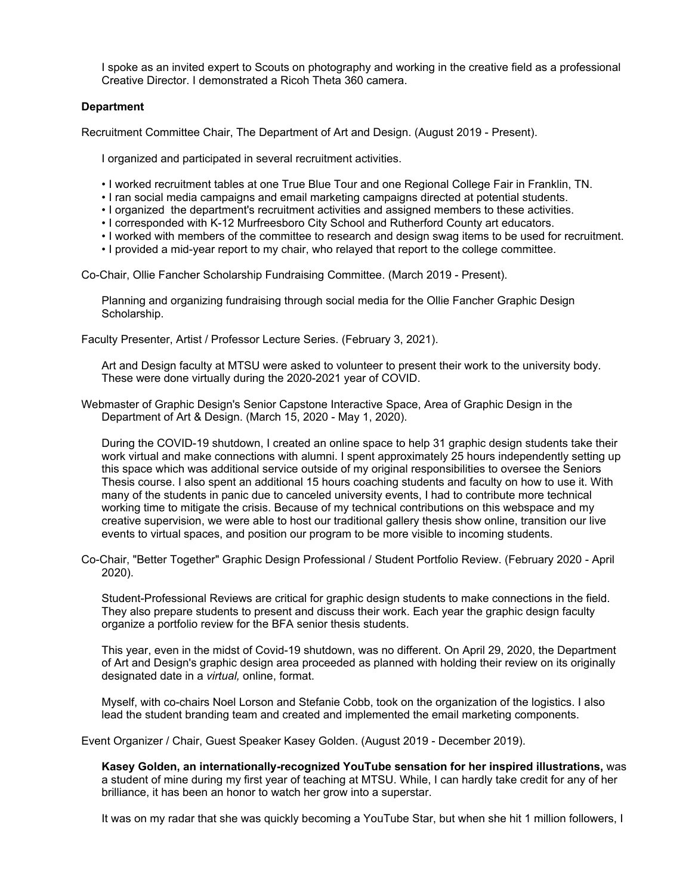I spoke as an invited expert to Scouts on photography and working in the creative field as a professional Creative Director. I demonstrated a Ricoh Theta 360 camera.

#### **Department**

Recruitment Committee Chair, The Department of Art and Design. (August 2019 - Present).

I organized and participated in several recruitment activities.

- I worked recruitment tables at one True Blue Tour and one Regional College Fair in Franklin, TN.
- I ran social media campaigns and email marketing campaigns directed at potential students.
- I organized the department's recruitment activities and assigned members to these activities.
- I corresponded with K-12 Murfreesboro City School and Rutherford County art educators.
- I worked with members of the committee to research and design swag items to be used for recruitment.
- I provided a mid-year report to my chair, who relayed that report to the college committee.

Co-Chair, Ollie Fancher Scholarship Fundraising Committee. (March 2019 - Present).

Planning and organizing fundraising through social media for the Ollie Fancher Graphic Design Scholarship.

Faculty Presenter, Artist / Professor Lecture Series. (February 3, 2021).

Art and Design faculty at MTSU were asked to volunteer to present their work to the university body. These were done virtually during the 2020-2021 year of COVID.

Webmaster of Graphic Design's Senior Capstone Interactive Space, Area of Graphic Design in the Department of Art & Design. (March 15, 2020 - May 1, 2020).

During the COVID-19 shutdown, I created an online space to help 31 graphic design students take their work virtual and make connections with alumni. I spent approximately 25 hours independently setting up this space which was additional service outside of my original responsibilities to oversee the Seniors Thesis course. I also spent an additional 15 hours coaching students and faculty on how to use it. With many of the students in panic due to canceled university events, I had to contribute more technical working time to mitigate the crisis. Because of my technical contributions on this webspace and my creative supervision, we were able to host our traditional gallery thesis show online, transition our live events to virtual spaces, and position our program to be more visible to incoming students.

Co-Chair, "Better Together" Graphic Design Professional / Student Portfolio Review. (February 2020 - April 2020).

Student-Professional Reviews are critical for graphic design students to make connections in the field. They also prepare students to present and discuss their work. Each year the graphic design faculty organize a portfolio review for the BFA senior thesis students.

This year, even in the midst of Covid-19 shutdown, was no different. On April 29, 2020, the Department of Art and Design's graphic design area proceeded as planned with holding their review on its originally designated date in a *virtual,* online, format.

Myself, with co-chairs Noel Lorson and Stefanie Cobb, took on the organization of the logistics. I also lead the student branding team and created and implemented the email marketing components.

Event Organizer / Chair, Guest Speaker Kasey Golden. (August 2019 - December 2019).

**Kasey Golden, an internationally-recognized YouTube sensation for her inspired illustrations,** was a student of mine during my first year of teaching at MTSU. While, I can hardly take credit for any of her brilliance, it has been an honor to watch her grow into a superstar.

It was on my radar that she was quickly becoming a YouTube Star, but when she hit 1 million followers, I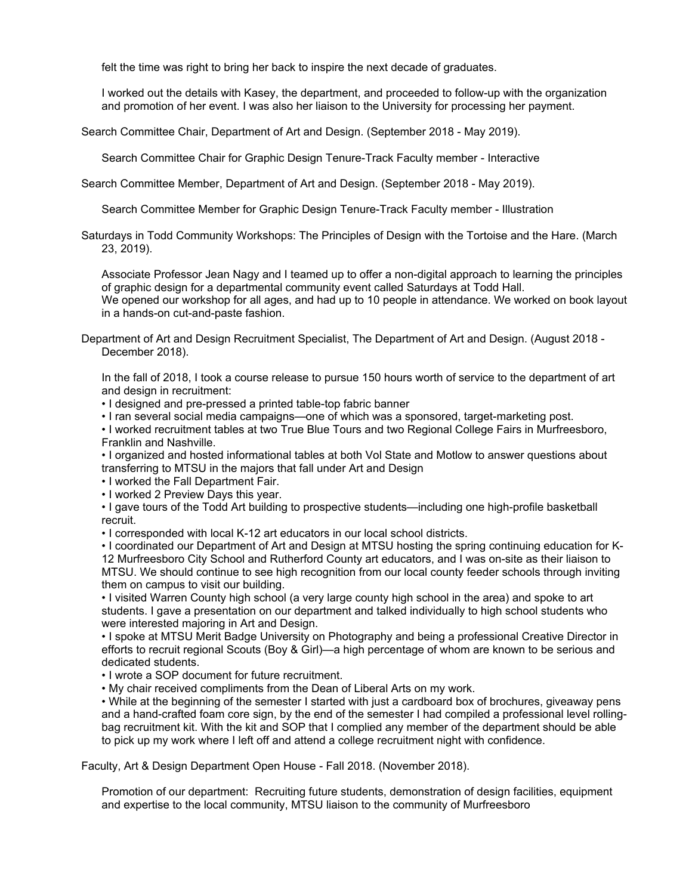felt the time was right to bring her back to inspire the next decade of graduates.

I worked out the details with Kasey, the department, and proceeded to follow-up with the organization and promotion of her event. I was also her liaison to the University for processing her payment.

Search Committee Chair, Department of Art and Design. (September 2018 - May 2019).

Search Committee Chair for Graphic Design Tenure-Track Faculty member - Interactive

Search Committee Member, Department of Art and Design. (September 2018 - May 2019).

Search Committee Member for Graphic Design Tenure-Track Faculty member - Illustration

Saturdays in Todd Community Workshops: The Principles of Design with the Tortoise and the Hare. (March 23, 2019).

Associate Professor Jean Nagy and I teamed up to offer a non-digital approach to learning the principles of graphic design for a departmental community event called Saturdays at Todd Hall. We opened our workshop for all ages, and had up to 10 people in attendance. We worked on book layout

in a hands-on cut-and-paste fashion.

Department of Art and Design Recruitment Specialist, The Department of Art and Design. (August 2018 - December 2018).

In the fall of 2018, I took a course release to pursue 150 hours worth of service to the department of art and design in recruitment:

• I designed and pre-pressed a printed table-top fabric banner

• I ran several social media campaigns—one of which was a sponsored, target-marketing post.

• I worked recruitment tables at two True Blue Tours and two Regional College Fairs in Murfreesboro, Franklin and Nashville.

• I organized and hosted informational tables at both Vol State and Motlow to answer questions about transferring to MTSU in the majors that fall under Art and Design

• I worked the Fall Department Fair.

• I worked 2 Preview Days this year.

• I gave tours of the Todd Art building to prospective students—including one high-profile basketball recruit.

• I corresponded with local K-12 art educators in our local school districts.

• I coordinated our Department of Art and Design at MTSU hosting the spring continuing education for K-12 Murfreesboro City School and Rutherford County art educators, and I was on-site as their liaison to MTSU. We should continue to see high recognition from our local county feeder schools through inviting them on campus to visit our building.

• I visited Warren County high school (a very large county high school in the area) and spoke to art students. I gave a presentation on our department and talked individually to high school students who were interested majoring in Art and Design.

• I spoke at MTSU Merit Badge University on Photography and being a professional Creative Director in efforts to recruit regional Scouts (Boy & Girl)—a high percentage of whom are known to be serious and dedicated students.

• I wrote a SOP document for future recruitment.

• My chair received compliments from the Dean of Liberal Arts on my work.

• While at the beginning of the semester I started with just a cardboard box of brochures, giveaway pens and a hand-crafted foam core sign, by the end of the semester I had compiled a professional level rollingbag recruitment kit. With the kit and SOP that I complied any member of the department should be able to pick up my work where I left off and attend a college recruitment night with confidence.

Faculty, Art & Design Department Open House - Fall 2018. (November 2018).

Promotion of our department: Recruiting future students, demonstration of design facilities, equipment and expertise to the local community, MTSU liaison to the community of Murfreesboro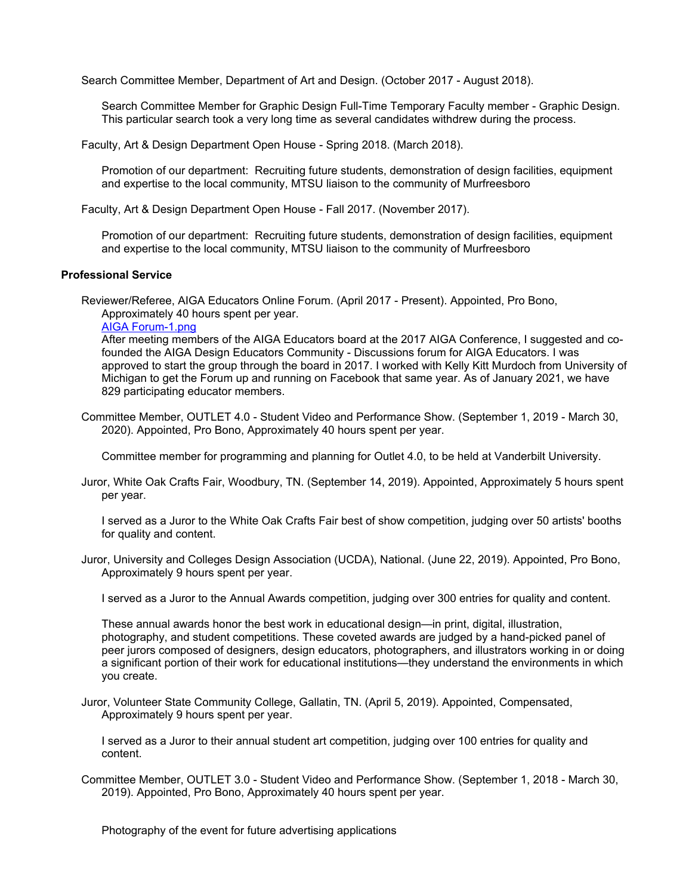Search Committee Member, Department of Art and Design. (October 2017 - August 2018).

Search Committee Member for Graphic Design Full-Time Temporary Faculty member - Graphic Design. This particular search took a very long time as several candidates withdrew during the process.

Faculty, Art & Design Department Open House - Spring 2018. (March 2018).

Promotion of our department: Recruiting future students, demonstration of design facilities, equipment and expertise to the local community, MTSU liaison to the community of Murfreesboro

Faculty, Art & Design Department Open House - Fall 2017. (November 2017).

Promotion of our department: Recruiting future students, demonstration of design facilities, equipment and expertise to the local community, MTSU liaison to the community of Murfreesboro

#### **Professional Service**

Reviewer/Referee, AIGA Educators Online Forum. (April 2017 - Present). Appointed, Pro Bono, Approximately 40 hours spent per year.

[AIGA Forum-1.png](https://www.digitalmeasures.com/login/mtsu/faculty/survey/ui/showFile?file=c2VscGgvc2VydmljZV9wcm9mZXNzaW9uYWwvQUlHQSBGb3J1bS0xLnBuZw%3D%3D&surId=18072483&nodeId=2121684&sdId=92839962&sdSurId=18072483&rptId=30342&sgntr=CLh%2BHDHM1o99J21QfOEZ250ythw%3D)

After meeting members of the AIGA Educators board at the 2017 AIGA Conference, I suggested and cofounded the AIGA Design Educators Community - Discussions forum for AIGA Educators. I was approved to start the group through the board in 2017. I worked with Kelly Kitt Murdoch from University of Michigan to get the Forum up and running on Facebook that same year. As of January 2021, we have 829 participating educator members.

Committee Member, OUTLET 4.0 - Student Video and Performance Show. (September 1, 2019 - March 30, 2020). Appointed, Pro Bono, Approximately 40 hours spent per year.

Committee member for programming and planning for Outlet 4.0, to be held at Vanderbilt University.

Juror, White Oak Crafts Fair, Woodbury, TN. (September 14, 2019). Appointed, Approximately 5 hours spent per year.

I served as a Juror to the White Oak Crafts Fair best of show competition, judging over 50 artists' booths for quality and content.

Juror, University and Colleges Design Association (UCDA), National. (June 22, 2019). Appointed, Pro Bono, Approximately 9 hours spent per year.

I served as a Juror to the Annual Awards competition, judging over 300 entries for quality and content.

These annual awards honor the best work in educational design—in print, digital, illustration, photography, and student competitions. These coveted awards are judged by a hand-picked panel of peer jurors composed of designers, design educators, photographers, and illustrators working in or doing a significant portion of their work for educational institutions—they understand the environments in which you create.

Juror, Volunteer State Community College, Gallatin, TN. (April 5, 2019). Appointed, Compensated, Approximately 9 hours spent per year.

I served as a Juror to their annual student art competition, judging over 100 entries for quality and content.

Committee Member, OUTLET 3.0 - Student Video and Performance Show. (September 1, 2018 - March 30, 2019). Appointed, Pro Bono, Approximately 40 hours spent per year.

Photography of the event for future advertising applications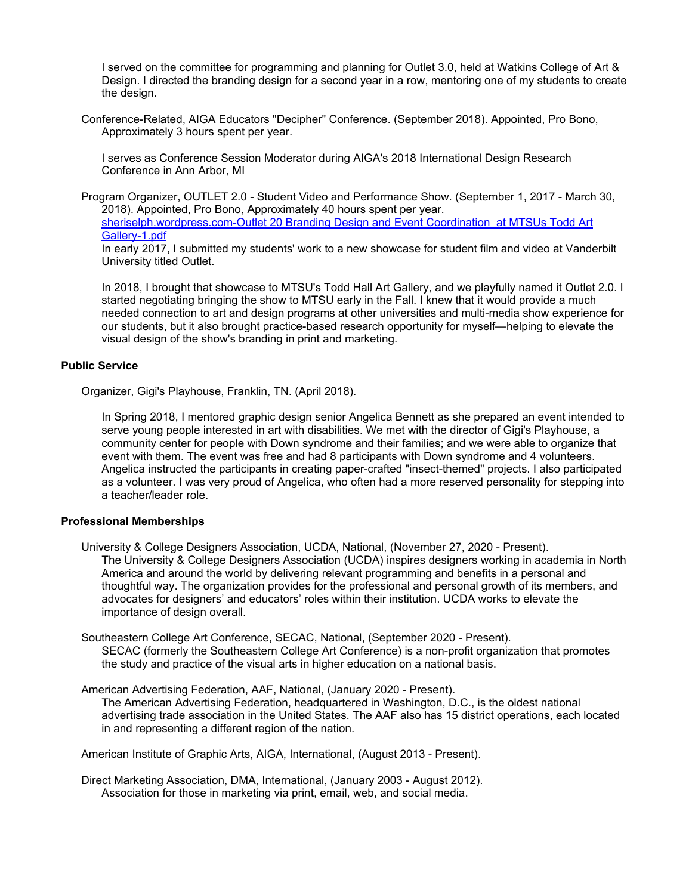I served on the committee for programming and planning for Outlet 3.0, held at Watkins College of Art & Design. I directed the branding design for a second year in a row, mentoring one of my students to create the design.

Conference-Related, AIGA Educators "Decipher" Conference. (September 2018). Appointed, Pro Bono, Approximately 3 hours spent per year.

I serves as Conference Session Moderator during AIGA's 2018 International Design Research Conference in Ann Arbor, MI

Program Organizer, OUTLET 2.0 - Student Video and Performance Show. (September 1, 2017 - March 30, 2018). Appointed, Pro Bono, Approximately 40 hours spent per year. [sheriselph.wordpress.com-Outlet 20 Branding Design and Event Coordination at MTSUs Todd Art](https://www.digitalmeasures.com/login/mtsu/faculty/survey/ui/showFile?file=c2VscGgvc2VydmljZV9wcm9mZXNzaW9uYWwvc2hlcmlzZWxwaC53b3JkcHJlc3MuY29tLU91dGxl%0AdCAyMCBCcmFuZGluZyBEZXNpZ24gYW5kIEV2ZW50IENvb3JkaW5hdGlvbiAgYXQgTVRTVXMgVG9k%0AZCBBcnQgR2FsbGVyeS0xLnBkZg%3D%3D&surId=18072483&nodeId=2121684&sdId=96729154&sdSurId=18072483&rptId=30342&sgntr=HjW2Re9NdPEFouC1GGf8VtC8lrc%3D)

[Gallery-1.pdf](https://www.digitalmeasures.com/login/mtsu/faculty/survey/ui/showFile?file=c2VscGgvc2VydmljZV9wcm9mZXNzaW9uYWwvc2hlcmlzZWxwaC53b3JkcHJlc3MuY29tLU91dGxl%0AdCAyMCBCcmFuZGluZyBEZXNpZ24gYW5kIEV2ZW50IENvb3JkaW5hdGlvbiAgYXQgTVRTVXMgVG9k%0AZCBBcnQgR2FsbGVyeS0xLnBkZg%3D%3D&surId=18072483&nodeId=2121684&sdId=96729154&sdSurId=18072483&rptId=30342&sgntr=HjW2Re9NdPEFouC1GGf8VtC8lrc%3D)

In early 2017, I submitted my students' work to a new showcase for student film and video at Vanderbilt University titled Outlet.

In 2018, I brought that showcase to MTSU's Todd Hall Art Gallery, and we playfully named it Outlet 2.0. I started negotiating bringing the show to MTSU early in the Fall. I knew that it would provide a much needed connection to art and design programs at other universities and multi-media show experience for our students, but it also brought practice-based research opportunity for myself—helping to elevate the visual design of the show's branding in print and marketing.

#### **Public Service**

Organizer, Gigi's Playhouse, Franklin, TN. (April 2018).

In Spring 2018, I mentored graphic design senior Angelica Bennett as she prepared an event intended to serve young people interested in art with disabilities. We met with the director of Gigi's Playhouse, a community center for people with Down syndrome and their families; and we were able to organize that event with them. The event was free and had 8 participants with Down syndrome and 4 volunteers. Angelica instructed the participants in creating paper-crafted "insect-themed" projects. I also participated as a volunteer. I was very proud of Angelica, who often had a more reserved personality for stepping into a teacher/leader role.

#### **Professional Memberships**

- University & College Designers Association, UCDA, National, (November 27, 2020 Present). The University & College Designers Association (UCDA) inspires designers working in academia in North America and around the world by delivering relevant programming and benefits in a personal and thoughtful way. The organization provides for the professional and personal growth of its members, and advocates for designers' and educators' roles within their institution. UCDA works to elevate the importance of design overall.
- Southeastern College Art Conference, SECAC, National, (September 2020 Present). SECAC (formerly the Southeastern College Art Conference) is a non-profit organization that promotes the study and practice of the visual arts in higher education on a national basis.

American Advertising Federation, AAF, National, (January 2020 - Present). The American Advertising Federation, headquartered in Washington, D.C., is the oldest national advertising trade association in the United States. The AAF also has 15 district operations, each located in and representing a different region of the nation.

American Institute of Graphic Arts, AIGA, International, (August 2013 - Present).

Direct Marketing Association, DMA, International, (January 2003 - August 2012). Association for those in marketing via print, email, web, and social media.